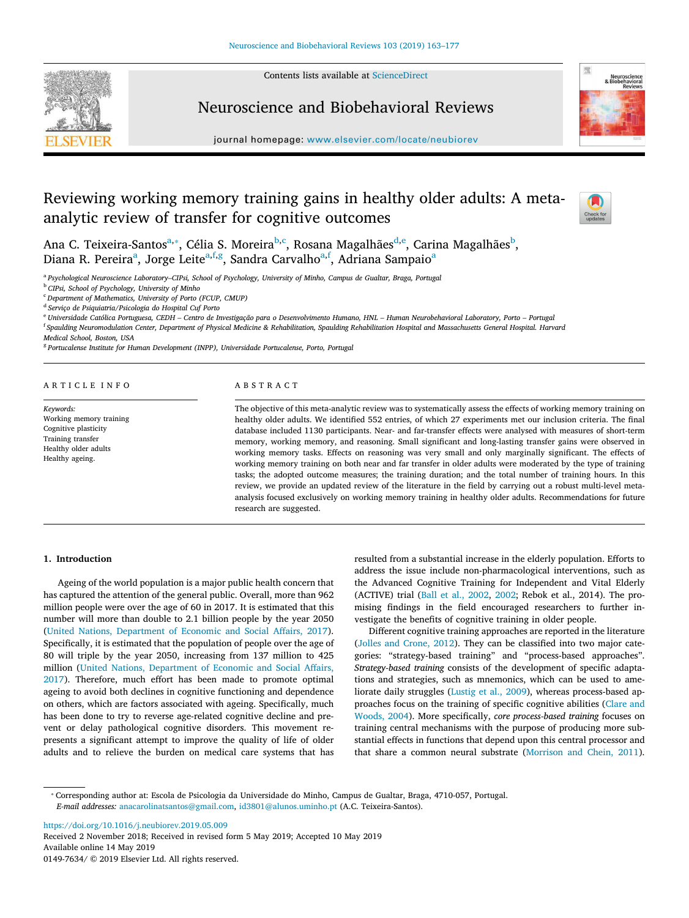Contents lists available at [ScienceDirect](http://www.sciencedirect.com/science/journal/01497634)



Neuroscience and Biobehavioral Reviews



journal homepage: [www.elsevier.com/locate/neubiorev](https://www.elsevier.com/locate/neubiorev)

# Reviewing working memory training gains in healthy older adults: A metaanalytic review of transfer for cognitive outcomes



An[a](#page-0-0) C. Teixeira-Santos<sup>a,</sup>\*, Célia S. Moreira<sup>[b,](#page-0-2)[c](#page-0-3)</sup>, Rosana Magalhães<sup>[d](#page-0-4)[,e](#page-0-5)</sup>, Carina Magalhães<sup>[b](#page-0-2)</sup>, Di[a](#page-0-0)na R. Pereira<sup>a</sup>, Jorge Leite<sup>[a,](#page-0-0)[f](#page-0-6),[g](#page-0-7)</sup>, Sandra Carvalho<sup>a[,f](#page-0-6)</sup>, Adriana Sampaio<sup>a</sup>

<span id="page-0-0"></span>a *Psychological Neuroscience Laboratory–CIPsi, School of Psychology, University of Minho, Campus de Gualtar, Braga, Portugal*

<span id="page-0-2"></span><sup>b</sup> *CIPsi, School of Psychology, University of Minho*

<span id="page-0-3"></span><sup>c</sup> *Department of Mathematics, University of Porto (FCUP, CMUP)*

<span id="page-0-4"></span>d *Serviço de Psiquiatria/Psicologia do Hospital Cuf Porto*

<span id="page-0-5"></span><sup>e</sup> *Universidade Católica Portuguesa, CEDH – Centro de Investigação para o Desenvolvimento Humano, HNL – Human Neurobehavioral Laboratory, Porto – Portugal*

<span id="page-0-6"></span><sup>f</sup> Spaulding Neuromodulation Center, Department of Physical Medicine & Rehabilitation, Spaulding Rehabilitation Hospital and Massachusetts General Hospital. Harvard *Medical School, Boston, USA*

<span id="page-0-7"></span><sup>8</sup> Portucalense Institute for Human Development (INPP), Universidade Portucalense, Porto, Portugal

|  |  |  |  |  | ARTICLE INFO |  |
|--|--|--|--|--|--------------|--|
|  |  |  |  |  |              |  |

*Keywords:* Working memory training Cognitive plasticity Training transfer Healthy older adults Healthy ageing.

# ABSTRACT

The objective of this meta-analytic review was to systematically assess the effects of working memory training on healthy older adults. We identified 552 entries, of which 27 experiments met our inclusion criteria. The final database included 1130 participants. Near- and far-transfer effects were analysed with measures of short-term memory, working memory, and reasoning. Small significant and long-lasting transfer gains were observed in working memory tasks. Effects on reasoning was very small and only marginally significant. The effects of working memory training on both near and far transfer in older adults were moderated by the type of training tasks; the adopted outcome measures; the training duration; and the total number of training hours. In this review, we provide an updated review of the literature in the field by carrying out a robust multi-level metaanalysis focused exclusively on working memory training in healthy older adults. Recommendations for future research are suggested.

# **1. Introduction**

Ageing of the world population is a major public health concern that has captured the attention of the general public. Overall, more than 962 million people were over the age of 60 in 2017. It is estimated that this number will more than double to 2.1 billion people by the year 2050 ([United Nations, Department of Economic and Social Affairs, 2017](#page-13-0)). Specifically, it is estimated that the population of people over the age of 80 will triple by the year 2050, increasing from 137 million to 425 million [\(United Nations, Department of Economic and Social Affairs,](#page-13-0) [2017\)](#page-13-0). Therefore, much effort has been made to promote optimal ageing to avoid both declines in cognitive functioning and dependence on others, which are factors associated with ageing. Specifically, much has been done to try to reverse age-related cognitive decline and prevent or delay pathological cognitive disorders. This movement represents a significant attempt to improve the quality of life of older adults and to relieve the burden on medical care systems that has

resulted from a substantial increase in the elderly population. Efforts to address the issue include non-pharmacological interventions, such as the Advanced Cognitive Training for Independent and Vital Elderly (ACTIVE) trial [\(Ball et al., 2002,](#page-11-0) [2002](#page-11-0); Rebok et al., 2014). The promising findings in the field encouraged researchers to further investigate the benefits of cognitive training in older people.

Different cognitive training approaches are reported in the literature ([Jolles and Crone, 2012\)](#page-12-0). They can be classified into two major categories: "strategy-based training" and "process-based approaches". *Strategy-based training* consists of the development of specific adaptations and strategies, such as mnemonics, which can be used to ameliorate daily struggles [\(Lustig et al., 2009](#page-13-1)), whereas process-based approaches focus on the training of specific cognitive abilities([Clare and](#page-12-1) [Woods, 2004](#page-12-1)). More specifically, *core process-based training* focuses on training central mechanisms with the purpose of producing more substantial effects in functions that depend upon this central processor and that share a common neural substrate([Morrison and Chein, 2011](#page-13-2)).

<span id="page-0-1"></span>⁎ Corresponding author at: Escola de Psicologia da Universidade do Minho, Campus de Gualtar, Braga, 4710-057, Portugal. *E-mail addresses:* [anacarolinatsantos@gmail.com,](mailto:anacarolinatsantos@gmail.com) [id3801@alunos.uminho.pt](mailto:id3801@alunos.uminho.pt) (A.C. Teixeira-Santos).

<https://doi.org/10.1016/j.neubiorev.2019.05.009>

Received 2 November 2018; Received in revised form 5 May 2019; Accepted 10 May 2019 Available online 14 May 2019 0149-7634/ © 2019 Elsevier Ltd. All rights reserved.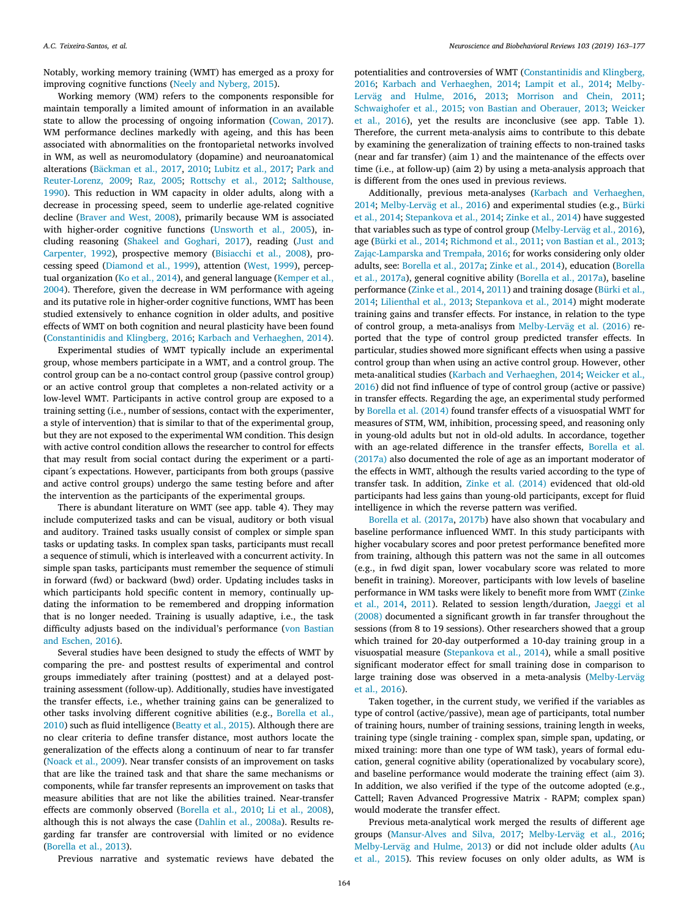Notably, working memory training (WMT) has emerged as a proxy for improving cognitive functions([Neely and Nyberg, 2015\)](#page-13-3).

Working memory (WM) refers to the components responsible for maintain temporally a limited amount of information in an available state to allow the processing of ongoing information([Cowan, 2017](#page-12-2)). WM performance declines markedly with ageing, and this has been associated with abnormalities on the frontoparietal networks involved in WM, as well as neuromodulatory (dopamine) and neuroanatomical alterations([Bäckman et al., 2017](#page-11-1), [2010](#page-11-2); [Lubitz et al., 2017;](#page-13-4) [Park and](#page-13-5) [Reuter-Lorenz, 2009](#page-13-5); [Raz, 2005;](#page-13-6) [Rottschy et al., 2012](#page-13-7); [Salthouse,](#page-13-8) [1990\)](#page-13-8). This reduction in WM capacity in older adults, along with a decrease in processing speed, seem to underlie age-related cognitive decline([Braver and West, 2008\)](#page-12-3), primarily because WM is associated with higher-order cognitive functions([Unsworth et al., 2005](#page-13-9)), including reasoning [\(Shakeel and Goghari, 2017\)](#page-13-10), reading([Just and](#page-12-4) [Carpenter, 1992\)](#page-12-4), prospective memory [\(Bisiacchi et al., 2008](#page-12-5)), processing speed([Diamond et al., 1999](#page-12-6)), attention [\(West, 1999](#page-14-0)), perceptual organization([Ko et al., 2014](#page-12-7)), and general language [\(Kemper et al.,](#page-12-8) [2004\)](#page-12-8). Therefore, given the decrease in WM performance with ageing and its putative role in higher-order cognitive functions, WMT has been studied extensively to enhance cognition in older adults, and positive effects of WMT on both cognition and neural plasticity have been found ([Constantinidis and Klingberg, 2016](#page-12-9); [Karbach and Verhaeghen, 2014](#page-12-10)).

Experimental studies of WMT typically include an experimental group, whose members participate in a WMT, and a control group. The control group can be a no-contact control group (passive control group) or an active control group that completes a non-related activity or a low-level WMT. Participants in active control group are exposed to a training setting (i.e., number of sessions, contact with the experimenter, a style of intervention) that is similar to that of the experimental group, but they are not exposed to the experimental WM condition. This design with active control condition allows the researcher to control for effects that may result from social contact during the experiment or a participant´s expectations. However, participants from both groups (passive and active control groups) undergo the same testing before and after the intervention as the participants of the experimental groups.

There is abundant literature on WMT (see app. table 4). They may include computerized tasks and can be visual, auditory or both visual and auditory. Trained tasks usually consist of complex or simple span tasks or updating tasks. In complex span tasks, participants must recall a sequence of stimuli, which is interleaved with a concurrent activity. In simple span tasks, participants must remember the sequence of stimuli in forward (fwd) or backward (bwd) order. Updating includes tasks in which participants hold specific content in memory, continually updating the information to be remembered and dropping information that is no longer needed. Training is usually adaptive, i.e., the task difficulty adjusts based on the individual's performance [\(von Bastian](#page-14-1) [and Eschen, 2016\)](#page-14-1).

Several studies have been designed to study the effects of WMT by comparing the pre- and posttest results of experimental and control groups immediately after training (posttest) and at a delayed posttraining assessment (follow-up). Additionally, studies have investigated the transfer effects, i.e., whether training gains can be generalized to other tasks involving different cognitive abilities (e.g., [Borella et al.,](#page-12-11) [2010\)](#page-12-11) such as fluid intelligence([Beatty et al., 2015\)](#page-12-12). Although there are no clear criteria to define transfer distance, most authors locate the generalization of the effects along a continuum of near to far transfer ([Noack et al., 2009](#page-13-11)). Near transfer consists of an improvement on tasks that are like the trained task and that share the same mechanisms or components, while far transfer represents an improvement on tasks that measure abilities that are not like the abilities trained. Near-transfer effects are commonly observed([Borella et al., 2010](#page-12-11); [Li et al., 2008](#page-13-12)), although this is not always the case([Dahlin et al., 2008a](#page-12-13)). Results regarding far transfer are controversial with limited or no evidence ([Borella et al., 2013\)](#page-12-14).

Previous narrative and systematic reviews have debated the

potentialities and controversies of WMT [\(Constantinidis and Klingberg,](#page-12-9) [2016;](#page-12-9) [Karbach and Verhaeghen, 2014;](#page-12-10) [Lampit et al., 2014;](#page-13-13) [Melby-](#page-13-14)[Lerväg and Hulme, 2016,](#page-13-14) [2013](#page-13-15); [Morrison and Chein, 2011](#page-13-2); [Schwaighofer et al., 2015;](#page-13-16) [von Bastian and Oberauer, 2013](#page-14-2); [Weicker](#page-14-3) [et al., 2016](#page-14-3)), yet the results are inconclusive (see app. Table 1). Therefore, the current meta-analysis aims to contribute to this debate by examining the generalization of training effects to non-trained tasks (near and far transfer) (aim 1) and the maintenance of the effects over time (i.e., at follow-up) (aim 2) by using a meta-analysis approach that is different from the ones used in previous reviews.

Additionally, previous meta-analyses([Karbach and Verhaeghen,](#page-12-10) [2014;](#page-12-10) [Melby-Lerväg et al., 2016\)](#page-13-17) and experimental studies (e.g., [Bürki](#page-12-15) [et al., 2014](#page-12-15); [Stepankova et al., 2014](#page-13-18); [Zinke et al., 2014](#page-14-4)) have suggested that variables such as type of control group([Melby-Lerväg et al., 2016](#page-13-17)), age([Bürki et al., 2014](#page-12-15); [Richmond et al., 2011;](#page-13-19) [von Bastian et al., 2013](#page-14-5); [Zając-Lamparska and Trempała, 2016](#page-14-6); for works considering only older adults, see: [Borella et al., 2017a](#page-12-16); [Zinke et al., 2014](#page-14-4)), education([Borella](#page-12-16) [et al., 2017a\)](#page-12-16), general cognitive ability([Borella et al., 2017a](#page-12-16)), baseline performance([Zinke et al., 2014,](#page-14-4) [2011\)](#page-14-7) and training dosage [\(Bürki et al.,](#page-12-15) [2014;](#page-12-15) [Lilienthal et al., 2013](#page-13-20); [Stepankova et al., 2014](#page-13-18)) might moderate training gains and transfer effects. For instance, in relation to the type of control group, a meta-analisys from [Melby-Lerväg et al. \(2016\)](#page-13-17) reported that the type of control group predicted transfer effects. In particular, studies showed more significant effects when using a passive control group than when using an active control group. However, other meta-analitical studies [\(Karbach and Verhaeghen, 2014](#page-12-10); [Weicker et al.,](#page-14-3) [2016\)](#page-14-3) did not find influence of type of control group (active or passive) in transfer effects. Regarding the age, an experimental study performed by [Borella et al. \(2014\)](#page-12-17) found transfer effects of a visuospatial WMT for measures of STM, WM, inhibition, processing speed, and reasoning only in young-old adults but not in old-old adults. In accordance, together with an age-related difference in the transfer effects, [Borella et al.](#page-12-16) [\(2017a\)](#page-12-16) also documented the role of age as an important moderator of the effects in WMT, although the results varied according to the type of transfer task. In addition, [Zinke et al. \(2014\)](#page-14-4) evidenced that old-old participants had less gains than young-old participants, except for fluid intelligence in which the reverse pattern was verified.

[Borella et al. \(2017a](#page-12-16), [2017b](#page-12-18)) have also shown that vocabulary and baseline performance influenced WMT. In this study participants with higher vocabulary scores and poor pretest performance benefited more from training, although this pattern was not the same in all outcomes (e.g., in fwd digit span, lower vocabulary score was related to more benefit in training). Moreover, participants with low levels of baseline performance in WM tasks were likely to benefit more from WMT([Zinke](#page-14-4) [et al., 2014,](#page-14-4) [2011](#page-14-7)). Related to session length/duration, [Jaeggi et al](#page-12-19) [\(2008\)](#page-12-19) documented a significant growth in far transfer throughout the sessions (from 8 to 19 sessions). Other researchers showed that a group which trained for 20-day outperformed a 10-day training group in a visuospatial measure([Stepankova et al., 2014](#page-13-18)), while a small positive significant moderator effect for small training dose in comparison to large training dose was observed in a meta-analysis [\(Melby-Lerväg](#page-13-17) [et al., 2016](#page-13-17)).

Taken together, in the current study, we verified if the variables as type of control (active/passive), mean age of participants, total number of training hours, number of training sessions, training length in weeks, training type (single training - complex span, simple span, updating, or mixed training: more than one type of WM task), years of formal education, general cognitive ability (operationalized by vocabulary score), and baseline performance would moderate the training effect (aim 3). In addition, we also verified if the type of the outcome adopted (e.g., Cattell; Raven Advanced Progressive Matrix - RAPM; complex span) would moderate the transfer effect.

Previous meta-analytical work merged the results of different age groups [\(Mansur-Alves and Silva, 2017;](#page-13-21) [Melby-Lerväg et al., 2016](#page-13-17); [Melby-Lerväg and Hulme, 2013\)](#page-13-15) or did not include older adults([Au](#page-11-3) [et al., 2015\)](#page-11-3). This review focuses on only older adults, as WM is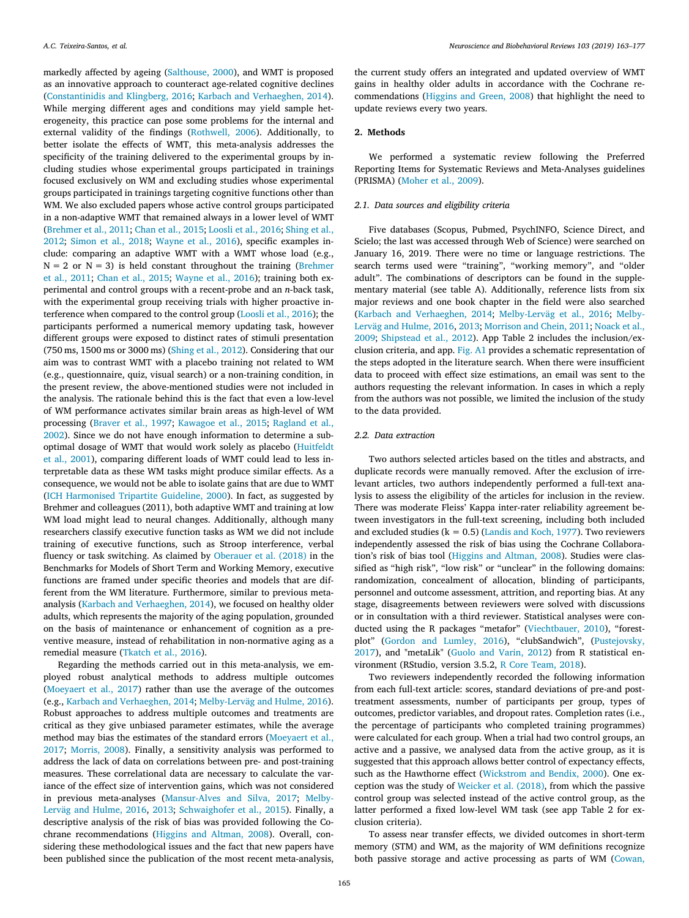markedly affected by ageing [\(Salthouse, 2000\)](#page-13-22), and WMT is proposed as an innovative approach to counteract age-related cognitive declines ([Constantinidis and Klingberg, 2016](#page-12-9); [Karbach and Verhaeghen, 2014](#page-12-10)). While merging different ages and conditions may yield sample heterogeneity, this practice can pose some problems for the internal and external validity of the findings [\(Rothwell, 2006](#page-13-23)). Additionally, to better isolate the effects of WMT, this meta-analysis addresses the specificity of the training delivered to the experimental groups by including studies whose experimental groups participated in trainings focused exclusively on WM and excluding studies whose experimental groups participated in trainings targeting cognitive functions other than WM. We also excluded papers whose active control groups participated in a non-adaptive WMT that remained always in a lower level of WMT ([Brehmer et al., 2011](#page-12-20); [Chan et al., 2015](#page-12-21); [Loosli et al., 2016](#page-13-24); [Shing et al.,](#page-13-25) [2012;](#page-13-25) [Simon et al., 2018](#page-13-26); [Wayne et al., 2016\)](#page-14-8), specific examples include: comparing an adaptive WMT with a WMT whose load (e.g.,  $N = 2$  or  $N = 3$ ) is held constant throughout the training [\(Brehmer](#page-12-20) [et al., 2011;](#page-12-20) [Chan et al., 2015;](#page-12-21) [Wayne et al., 2016](#page-14-8)); training both experimental and control groups with a recent-probe and an *n*-back task, with the experimental group receiving trials with higher proactive interference when compared to the control group([Loosli et al., 2016](#page-13-24)); the participants performed a numerical memory updating task, however different groups were exposed to distinct rates of stimuli presentation (750 ms, 1500 ms or 3000 ms) [\(Shing et al., 2012](#page-13-25)). Considering that our aim was to contrast WMT with a placebo training not related to WM (e.g., questionnaire, quiz, visual search) or a non-training condition, in the present review, the above-mentioned studies were not included in the analysis. The rationale behind this is the fact that even a low-level of WM performance activates similar brain areas as high-level of WM processing([Braver et al., 1997;](#page-12-22) [Kawagoe et al., 2015;](#page-12-23) [Ragland et al.,](#page-13-27) [2002\)](#page-13-27). Since we do not have enough information to determine a suboptimal dosage of WMT that would work solely as placebo([Huitfeldt](#page-12-24) [et al., 2001\)](#page-12-24), comparing different loads of WMT could lead to less interpretable data as these WM tasks might produce similar effects. As a consequence, we would not be able to isolate gains that are due to WMT ([ICH Harmonised Tripartite Guideline, 2000](#page-12-25)). In fact, as suggested by Brehmer and colleagues (2011), both adaptive WMT and training at low WM load might lead to neural changes. Additionally, although many researchers classify executive function tasks as WM we did not include training of executive functions, such as Stroop interference, verbal fluency or task switching. As claimed by [Oberauer et al. \(2018\)](#page-13-28) in the Benchmarks for Models of Short Term and Working Memory, executive functions are framed under specific theories and models that are different from the WM literature. Furthermore, similar to previous metaanalysis([Karbach and Verhaeghen, 2014\)](#page-12-10), we focused on healthy older adults, which represents the majority of the aging population, grounded on the basis of maintenance or enhancement of cognition as a preventive measure, instead of rehabilitation in non-normative aging as a remedial measure [\(Tkatch et al., 2016\)](#page-13-29).

Regarding the methods carried out in this meta-analysis, we employed robust analytical methods to address multiple outcomes ([Moeyaert et al., 2017](#page-13-30)) rather than use the average of the outcomes (e.g., [Karbach and Verhaeghen, 2014](#page-12-10); [Melby-Lerväg and Hulme, 2016](#page-13-14)). Robust approaches to address multiple outcomes and treatments are critical as they give unbiased parameter estimates, while the average method may bias the estimates of the standard errors([Moeyaert et al.,](#page-13-30) [2017;](#page-13-30) [Morris, 2008\)](#page-13-31). Finally, a sensitivity analysis was performed to address the lack of data on correlations between pre- and post-training measures. These correlational data are necessary to calculate the variance of the effect size of intervention gains, which was not considered in previous meta-analyses([Mansur-Alves and Silva, 2017;](#page-13-21) [Melby-](#page-13-14)[Lerväg and Hulme, 2016,](#page-13-14) [2013;](#page-13-15) [Schwaighofer et al., 2015](#page-13-16)). Finally, a descriptive analysis of the risk of bias was provided following the Cochrane recommendations([Higgins and Altman, 2008](#page-12-26)). Overall, considering these methodological issues and the fact that new papers have been published since the publication of the most recent meta-analysis,

the current study offers an integrated and updated overview of WMT gains in healthy older adults in accordance with the Cochrane recommendations [\(Higgins and Green, 2008](#page-12-27)) that highlight the need to update reviews every two years.

## **2. Methods**

We performed a systematic review following the Preferred Reporting Items for Systematic Reviews and Meta-Analyses guidelines (PRISMA) [\(Moher et al., 2009\)](#page-13-32).

## *2.1. Data sources and eligibility criteria*

Five databases (Scopus, Pubmed, PsychINFO, Science Direct, and Scielo; the last was accessed through Web of Science) were searched on January 16, 2019. There were no time or language restrictions. The search terms used were "training", "working memory", and "older adult". The combinations of descriptors can be found in the supplementary material (see table A). Additionally, reference lists from six major reviews and one book chapter in the field were also searched ([Karbach and Verhaeghen, 2014;](#page-12-10) [Melby-Lerväg et al., 2016](#page-13-17); [Melby-](#page-13-14)[Lerväg and Hulme, 2016,](#page-13-14) [2013;](#page-13-15) [Morrison and Chein, 2011](#page-13-2); [Noack et al.,](#page-13-11) [2009;](#page-13-11) [Shipstead et al., 2012\)](#page-13-33). App Table 2 includes the inclusion/exclusion criteria, and app. [Fig. A1](#page-10-0) provides a schematic representation of the steps adopted in the literature search. When there were insufficient data to proceed with effect size estimations, an email was sent to the authors requesting the relevant information. In cases in which a reply from the authors was not possible, we limited the inclusion of the study to the data provided.

# *2.2. Data extraction*

Two authors selected articles based on the titles and abstracts, and duplicate records were manually removed. After the exclusion of irrelevant articles, two authors independently performed a full-text analysis to assess the eligibility of the articles for inclusion in the review. There was moderate Fleiss' Kappa inter-rater reliability agreement between investigators in the full-text screening, including both included and excluded studies ( $k = 0.5$ ) [\(Landis and Koch, 1977](#page-13-34)). Two reviewers independently assessed the risk of bias using the Cochrane Collaboration's risk of bias tool([Higgins and Altman, 2008](#page-12-26)). Studies were classified as "high risk", "low risk" or "unclear" in the following domains: randomization, concealment of allocation, blinding of participants, personnel and outcome assessment, attrition, and reporting bias. At any stage, disagreements between reviewers were solved with discussions or in consultation with a third reviewer. Statistical analyses were conducted using the R packages "metafor" [\(Viechtbauer, 2010\)](#page-14-9), "forestplot"([Gordon and Lumley, 2016\)](#page-12-28), "clubSandwich",([Pustejovsky,](#page-13-35) [2017\)](#page-13-35), and "metaLik"([Guolo and Varin, 2012](#page-12-29)) from R statistical environment (RStudio, version 3.5.2, [R Core Team, 2018\)](#page-13-36).

Two reviewers independently recorded the following information from each full-text article: scores, standard deviations of pre-and posttreatment assessments, number of participants per group, types of outcomes, predictor variables, and dropout rates. Completion rates (i.e., the percentage of participants who completed training programmes) were calculated for each group. When a trial had two control groups, an active and a passive, we analysed data from the active group, as it is suggested that this approach allows better control of expectancy effects, such as the Hawthorne effect([Wickstrom and Bendix, 2000\)](#page-14-10). One exception was the study of [Weicker et al. \(2018\),](#page-14-11) from which the passive control group was selected instead of the active control group, as the latter performed a fixed low-level WM task (see app Table 2 for exclusion criteria).

To assess near transfer effects, we divided outcomes in short-term memory (STM) and WM, as the majority of WM definitions recognize both passive storage and active processing as parts of WM [\(Cowan,](#page-12-2)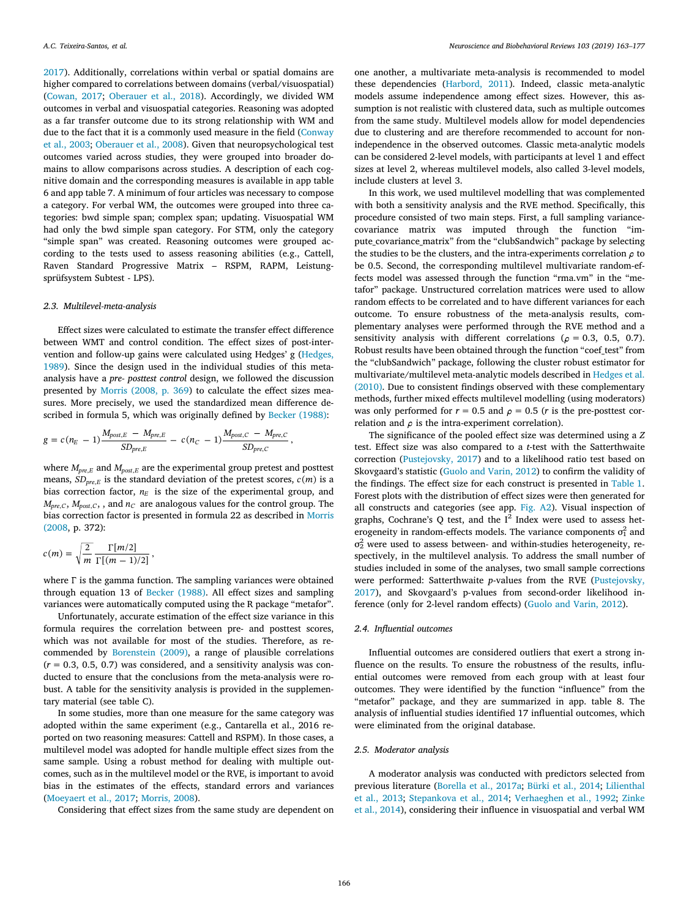[2017\)](#page-12-2). Additionally, correlations within verbal or spatial domains are higher compared to correlations between domains (verbal/visuospatial) ([Cowan, 2017](#page-12-2); [Oberauer et al., 2018](#page-13-28)). Accordingly, we divided WM outcomes in verbal and visuospatial categories. Reasoning was adopted as a far transfer outcome due to its strong relationship with WM and due to the fact that it is a commonly used measure in the field [\(Conway](#page-12-30) [et al., 2003;](#page-12-30) [Oberauer et al., 2008](#page-13-37)). Given that neuropsychological test outcomes varied across studies, they were grouped into broader domains to allow comparisons across studies. A description of each cognitive domain and the corresponding measures is available in app table 6 and app table 7. A minimum of four articles was necessary to compose a category. For verbal WM, the outcomes were grouped into three categories: bwd simple span; complex span; updating. Visuospatial WM had only the bwd simple span category. For STM, only the category "simple span" was created. Reasoning outcomes were grouped according to the tests used to assess reasoning abilities (e.g., Cattell, Raven Standard Progressive Matrix – RSPM, RAPM, Leistungsprüfsystem Subtest - LPS).

#### *2.3. Multilevel-meta-analysis*

Effect sizes were calculated to estimate the transfer effect difference between WMT and control condition. The effect sizes of post-intervention and follow-up gains were calculated using Hedges'g([Hedges,](#page-12-31) [1989\)](#page-12-31). Since the design used in the individual studies of this metaanalysis have a *pre- posttest control* design, we followed the discussion presented by [Morris \(2008, p. 369](#page-13-31)) to calculate the effect sizes measures. More precisely, we used the standardized mean difference described in formula 5, which was originally defined by [Becker \(1988\):](#page-12-32)

$$
g = c(n_E - 1) \frac{M_{post,E} - M_{pre,E}}{SD_{pre,E}} - c(n_C - 1) \frac{M_{post,C} - M_{pre,C}}{SD_{pre,C}},
$$

where  $M_{pre,E}$  and  $M_{post,E}$  are the experimental group pretest and posttest means,  $SD_{pre,E}$  is the standard deviation of the pretest scores,  $c(m)$  is a bias correction factor,  $n_E$  is the size of the experimental group, and  $M_{pre,C}$ ,  $M_{post,C}$ , , and  $n_C$  are analogous values for the control group. The bias correction factor is presented in formula 22 as described in [Morris](#page-13-31) [\(2008,](#page-13-31) p. 372):

$$
c(m) = \sqrt{\frac{2}{m}} \frac{\Gamma[m/2]}{\Gamma[(m-1)/2]},
$$

where  $\Gamma$  is the gamma function. The sampling variances were obtained through equation 13 of [Becker \(1988\).](#page-12-32) All effect sizes and sampling variances were automatically computed using the R package "metafor".

Unfortunately, accurate estimation of the effect size variance in this formula requires the correlation between pre- and posttest scores, which was not available for most of the studies. Therefore, as recommended by [Borenstein \(2009\)](#page-12-33), a range of plausible correlations  $(r = 0.3, 0.5, 0.7)$  was considered, and a sensitivity analysis was conducted to ensure that the conclusions from the meta-analysis were robust. A table for the sensitivity analysis is provided in the supplementary material (see table C).

In some studies, more than one measure for the same category was adopted within the same experiment (e.g., Cantarella et al., 2016 reported on two reasoning measures: Cattell and RSPM). In those cases, a multilevel model was adopted for handle multiple effect sizes from the same sample. Using a robust method for dealing with multiple outcomes, such as in the multilevel model or the RVE, is important to avoid bias in the estimates of the effects, standard errors and variances ([Moeyaert et al., 2017](#page-13-30); [Morris, 2008](#page-13-31)).

Considering that effect sizes from the same study are dependent on

one another, a multivariate meta-analysis is recommended to model these dependencies([Harbord, 2011](#page-12-34)). Indeed, classic meta-analytic models assume independence among effect sizes. However, this assumption is not realistic with clustered data, such as multiple outcomes from the same study. Multilevel models allow for model dependencies due to clustering and are therefore recommended to account for nonindependence in the observed outcomes. Classic meta-analytic models can be considered 2-level models, with participants at level 1 and effect sizes at level 2, whereas multilevel models, also called 3-level models, include clusters at level 3.

In this work, we used multilevel modelling that was complemented with both a sensitivity analysis and the RVE method. Specifically, this procedure consisted of two main steps. First, a full sampling variancecovariance matrix was imputed through the function "impute\_covariance\_matrix" from the "clubSandwich" package by selecting the studies to be the clusters, and the intra-experiments correlation  $\rho$  to be 0.5. Second, the corresponding multilevel multivariate random-effects model was assessed through the function "rma.vm" in the "metafor" package. Unstructured correlation matrices were used to allow random effects to be correlated and to have different variances for each outcome. To ensure robustness of the meta-analysis results, complementary analyses were performed through the RVE method and a sensitivity analysis with different correlations ( $\rho = 0.3, 0.5, 0.7$ ). Robust results have been obtained through the function "coef\_test" from the "clubSandwich" package, following the cluster robust estimator for multivariate/multilevel meta-analytic models described in [Hedges et al.](#page-12-35) [\(2010\).](#page-12-35) Due to consistent findings observed with these complementary methods, further mixed effects multilevel modelling (using moderators) was only performed for  $r = 0.5$  and  $\rho = 0.5$  (*r* is the pre-posttest correlation and  $\rho$  is the intra-experiment correlation).

The significance of the pooled effect size was determined using a *Z* test. Effect size was also compared to a *t*-test with the Satterthwaite correction [\(Pustejovsky, 2017](#page-13-35)) and to a likelihood ratio test based on Skovgaard's statistic [\(Guolo and Varin, 2012\)](#page-12-29) to confirm the validity of the findings. The effect size for each construct is presented in [Table 1](#page-4-0). Forest plots with the distribution of effect sizes were then generated for all constructs and categories (see app. [Fig. A2\)](#page-11-4). Visual inspection of graphs, Cochrane's Q test, and the  $I<sup>2</sup>$  Index were used to assess heterogeneity in random-effects models. The variance components  $\sigma_1^2$  and  $\sigma_2^2$  were used to assess between- and within-studies heterogeneity, respectively, in the multilevel analysis. To address the small number of studies included in some of the analyses, two small sample corrections were performed: Satterthwaite *p*-values from the RVE([Pustejovsky,](#page-13-35) [2017\)](#page-13-35), and Skovgaard's p-values from second-order likelihood inference (only for 2-level random effects) [\(Guolo and Varin, 2012](#page-12-29)).

#### *2.4. Influential outcomes*

Influential outcomes are considered outliers that exert a strong influence on the results. To ensure the robustness of the results, influential outcomes were removed from each group with at least four outcomes. They were identified by the function "influence" from the "metafor" package, and they are summarized in app. table 8. The analysis of influential studies identified 17 influential outcomes, which were eliminated from the original database.

# *2.5. Moderator analysis*

A moderator analysis was conducted with predictors selected from previous literature [\(Borella et al., 2017a](#page-12-16); [Bürki et al., 2014](#page-12-15); [Lilienthal](#page-13-20) [et al., 2013;](#page-13-20) [Stepankova et al., 2014;](#page-13-18) [Verhaeghen et al., 1992;](#page-14-12) [Zinke](#page-14-4) [et al., 2014](#page-14-4)), considering their influence in visuospatial and verbal WM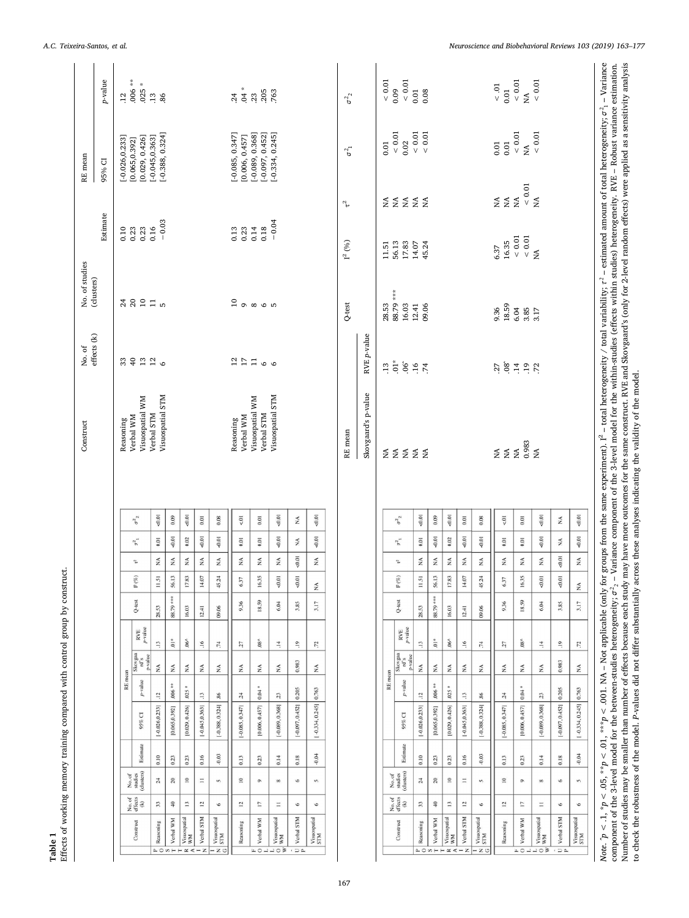<span id="page-4-0"></span>

*A.C. Teixeira-Santos, et al. Neuroscience and Biobehavioral Reviews 103 (2019) 163–177*

to check the robustness of the model. *P*-values did not differ substantially across these analyses indicating the validity of the model.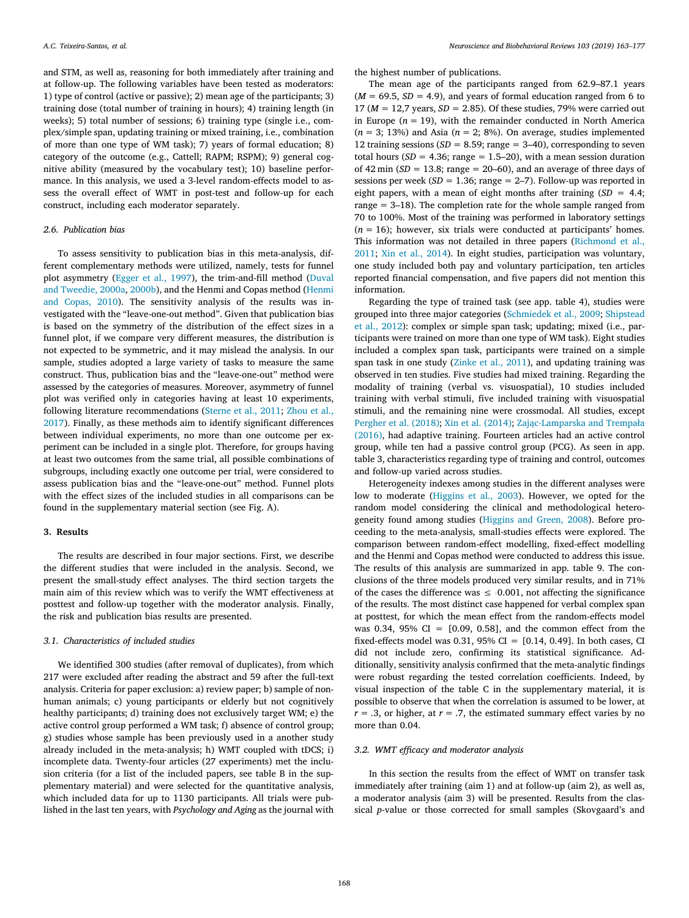and STM, as well as, reasoning for both immediately after training and at follow-up. The following variables have been tested as moderators: 1) type of control (active or passive); 2) mean age of the participants; 3) training dose (total number of training in hours); 4) training length (in weeks); 5) total number of sessions; 6) training type (single i.e., complex/simple span, updating training or mixed training, i.e., combination of more than one type of WM task); 7) years of formal education; 8) category of the outcome (e.g., Cattell; RAPM; RSPM); 9) general cognitive ability (measured by the vocabulary test); 10) baseline performance. In this analysis, we used a 3-level random-effects model to assess the overall effect of WMT in post-test and follow-up for each construct, including each moderator separately.

# *2.6. Publication bias*

To assess sensitivity to publication bias in this meta-analysis, different complementary methods were utilized, namely, tests for funnel plot asymmetry [\(Egger et al., 1997\)](#page-12-36), the trim-and-fill method([Duval](#page-12-37) [and Tweedie, 2000a](#page-12-37), [2000b\)](#page-12-38), and the Henmi and Copas method [\(Henmi](#page-12-39) [and Copas, 2010\)](#page-12-39). The sensitivity analysis of the results was investigated with the "leave-one-out method". Given that publication bias is based on the symmetry of the distribution of the effect sizes in a funnel plot, if we compare very different measures, the distribution is not expected to be symmetric, and it may mislead the analysis. In our sample, studies adopted a large variety of tasks to measure the same construct. Thus, publication bias and the "leave-one-out" method were assessed by the categories of measures. Moreover, asymmetry of funnel plot was verified only in categories having at least 10 experiments, following literature recommendations [\(Sterne et al., 2011](#page-13-38); [Zhou et al.,](#page-14-13) [2017\)](#page-14-13). Finally, as these methods aim to identify significant differences between individual experiments, no more than one outcome per experiment can be included in a single plot. Therefore, for groups having at least two outcomes from the same trial, all possible combinations of subgroups, including exactly one outcome per trial, were considered to assess publication bias and the "leave-one-out" method. Funnel plots with the effect sizes of the included studies in all comparisons can be found in the supplementary material section (see Fig. A).

#### **3. Results**

The results are described in four major sections. First, we describe the different studies that were included in the analysis. Second, we present the small-study effect analyses. The third section targets the main aim of this review which was to verify the WMT effectiveness at posttest and follow-up together with the moderator analysis. Finally, the risk and publication bias results are presented.

#### *3.1. Characteristics of included studies*

We identified 300 studies (after removal of duplicates), from which 217 were excluded after reading the abstract and 59 after the full-text analysis. Criteria for paper exclusion: a) review paper; b) sample of nonhuman animals; c) young participants or elderly but not cognitively healthy participants; d) training does not exclusively target WM; e) the active control group performed a WM task; f) absence of control group; g) studies whose sample has been previously used in a another study already included in the meta-analysis; h) WMT coupled with tDCS; i) incomplete data. Twenty-four articles (27 experiments) met the inclusion criteria (for a list of the included papers, see table B in the supplementary material) and were selected for the quantitative analysis, which included data for up to 1130 participants. All trials were published in the last ten years, with *Psychology and Aging* as the journal with

the highest number of publications.

The mean age of the participants ranged from 62.9–87.1 years  $(M = 69.5, SD = 4.9)$ , and years of formal education ranged from 6 to 17 ( $M = 12,7$  years,  $SD = 2.85$ ). Of these studies, 79% were carried out in Europe ( $n = 19$ ), with the remainder conducted in North America  $(n = 3; 13%)$  and Asia  $(n = 2; 8%)$ . On average, studies implemented 12 training sessions ( $SD = 8.59$ ; range = 3–40), corresponding to seven total hours ( $SD = 4.36$ ; range = 1.5–20), with a mean session duration of 42 min ( $SD = 13.8$ ; range = 20–60), and an average of three days of sessions per week  $(SD = 1.36$ ; range  $= 2-7$ ). Follow-up was reported in eight papers, with a mean of eight months after training  $(SD = 4.4$ ; range  $= 3-18$ ). The completion rate for the whole sample ranged from 70 to 100%. Most of the training was performed in laboratory settings  $(n = 16)$ ; however, six trials were conducted at participants' homes. This information was not detailed in three papers([Richmond et al.,](#page-13-19) [2011;](#page-13-19) [Xin et al., 2014\)](#page-14-14). In eight studies, participation was voluntary, one study included both pay and voluntary participation, ten articles reported financial compensation, and five papers did not mention this information.

Regarding the type of trained task (see app. table 4), studies were grouped into three major categories([Schmiedek et al., 2009](#page-13-39); [Shipstead](#page-13-33) [et al., 2012\)](#page-13-33): complex or simple span task; updating; mixed (i.e., participants were trained on more than one type of WM task). Eight studies included a complex span task, participants were trained on a simple span task in one study [\(Zinke et al., 2011\)](#page-14-7), and updating training was observed in ten studies. Five studies had mixed training. Regarding the modality of training (verbal vs. visuospatial), 10 studies included training with verbal stimuli, five included training with visuospatial stimuli, and the remaining nine were crossmodal. All studies, except [Pergher et al. \(2018\)](#page-13-40); [Xin et al. \(2014\);](#page-14-14) [Zając-Lamparska and Trempała](#page-14-6) [\(2016\),](#page-14-6) had adaptive training. Fourteen articles had an active control group, while ten had a passive control group (PCG). As seen in app. table 3, characteristics regarding type of training and control, outcomes and follow-up varied across studies.

Heterogeneity indexes among studies in the different analyses were low to moderate [\(Higgins et al., 2003](#page-12-40)). However, we opted for the random model considering the clinical and methodological heterogeneity found among studies([Higgins and Green, 2008\)](#page-12-27). Before proceeding to the meta-analysis, small-studies effects were explored. The comparison between random-effect modelling, fixed-effect modelling and the Henmi and Copas method were conducted to address this issue. The results of this analysis are summarized in app. table 9. The conclusions of the three models produced very similar results, and in 71% of the cases the difference was  $\leq 0.001$ , not affecting the significance of the results. The most distinct case happened for verbal complex span at posttest, for which the mean effect from the random-effects model was 0.34, 95%  $CI = [0.09, 0.58]$ , and the common effect from the fixed-effects model was 0.31, 95% CI =  $[0.14, 0.49]$ . In both cases, CI did not include zero, confirming its statistical significance. Additionally, sensitivity analysis confirmed that the meta-analytic findings were robust regarding the tested correlation coefficients. Indeed, by visual inspection of the table C in the supplementary material, it is possible to observe that when the correlation is assumed to be lower, at  $r = .3$ , or higher, at  $r = .7$ , the estimated summary effect varies by no more than 0.04.

## *3.2. WMT efficacy and moderator analysis*

In this section the results from the effect of WMT on transfer task immediately after training (aim 1) and at follow-up (aim 2), as well as, a moderator analysis (aim 3) will be presented. Results from the classical *p*-value or those corrected for small samples (Skovgaard's and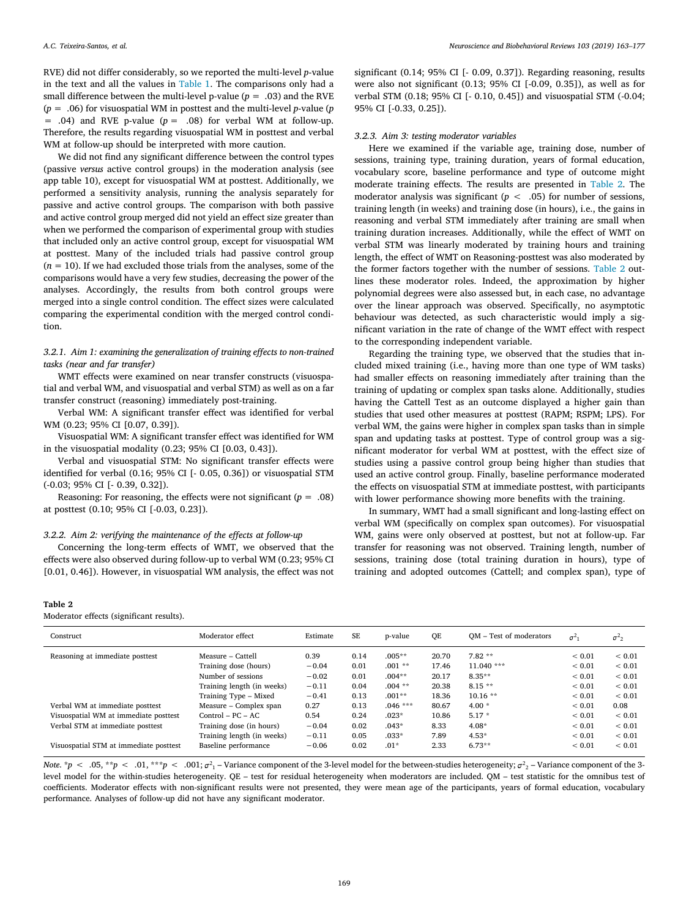RVE) did not differ considerably, so we reported the multi-level *p*-value in the text and all the values in [Table 1.](#page-4-0) The comparisons only had a small difference between the multi-level p-value ( $p = .03$ ) and the RVE (*p* = .06) for visuospatial WM in posttest and the multi-level *p*-value (*p*  $= .04$ ) and RVE p-value ( $p = .08$ ) for verbal WM at follow-up. Therefore, the results regarding visuospatial WM in posttest and verbal WM at follow-up should be interpreted with more caution.

We did not find any significant difference between the control types (passive *versus* active control groups) in the moderation analysis (see app table 10), except for visuospatial WM at posttest. Additionally, we performed a sensitivity analysis, running the analysis separately for passive and active control groups. The comparison with both passive and active control group merged did not yield an effect size greater than when we performed the comparison of experimental group with studies that included only an active control group, except for visuospatial WM at posttest. Many of the included trials had passive control group  $(n = 10)$ . If we had excluded those trials from the analyses, some of the comparisons would have a very few studies, decreasing the power of the analyses. Accordingly, the results from both control groups were merged into a single control condition. The effect sizes were calculated comparing the experimental condition with the merged control condition.

*3.2.1. Aim 1: examining the generalization of training effects to non-trained tasks (near and far transfer)*

WMT effects were examined on near transfer constructs (visuospatial and verbal WM, and visuospatial and verbal STM) as well as on a far transfer construct (reasoning) immediately post-training.

Verbal WM: A significant transfer effect was identified for verbal WM (0.23; 95% CI [0.07, 0.39]).

Visuospatial WM: A significant transfer effect was identified for WM in the visuospatial modality (0.23; 95% CI [0.03, 0.43]).

Verbal and visuospatial STM: No significant transfer effects were identified for verbal (0.16; 95% CI [- 0.05, 0.36]) or visuospatial STM (-0.03; 95% CI [- 0.39, 0.32]).

Reasoning: For reasoning, the effects were not significant  $(p = .08)$ at posttest (0.10; 95% CI [-0.03, 0.23]).

## *3.2.2. Aim 2: verifying the maintenance of the effects at follow-up*

Concerning the long-term effects of WMT, we observed that the effects were also observed during follow-up to verbal WM (0.23; 95% CI [0.01, 0.46]). However, in visuospatial WM analysis, the effect was not

Moderator effects (significant results).

<span id="page-6-0"></span>**Table 2**

significant (0.14; 95% CI [- 0.09, 0.37]). Regarding reasoning, results were also not significant (0.13; 95% CI [-0.09, 0.35]), as well as for verbal STM (0.18; 95% CI [- 0.10, 0.45]) and visuospatial STM (-0.04; 95% CI [-0.33, 0.25]).

# *3.2.3. Aim 3: testing moderator variables*

Here we examined if the variable age, training dose, number of sessions, training type, training duration, years of formal education, vocabulary score, baseline performance and type of outcome might moderate training effects. The results are presented in [Table 2](#page-6-0). The moderator analysis was significant  $(p < .05)$  for number of sessions, training length (in weeks) and training dose (in hours), i.e., the gains in reasoning and verbal STM immediately after training are small when training duration increases. Additionally, while the effect of WMT on verbal STM was linearly moderated by training hours and training length, the effect of WMT on Reasoning-posttest was also moderated by the former factors together with the number of sessions. [Table 2](#page-6-0) outlines these moderator roles. Indeed, the approximation by higher polynomial degrees were also assessed but, in each case, no advantage over the linear approach was observed. Specifically, no asymptotic behaviour was detected, as such characteristic would imply a significant variation in the rate of change of the WMT effect with respect to the corresponding independent variable.

Regarding the training type, we observed that the studies that included mixed training (i.e., having more than one type of WM tasks) had smaller effects on reasoning immediately after training than the training of updating or complex span tasks alone. Additionally, studies having the Cattell Test as an outcome displayed a higher gain than studies that used other measures at posttest (RAPM; RSPM; LPS). For verbal WM, the gains were higher in complex span tasks than in simple span and updating tasks at posttest. Type of control group was a significant moderator for verbal WM at posttest, with the effect size of studies using a passive control group being higher than studies that used an active control group. Finally, baseline performance moderated the effects on visuospatial STM at immediate posttest, with participants with lower performance showing more benefits with the training.

In summary, WMT had a small significant and long-lasting effect on verbal WM (specifically on complex span outcomes). For visuospatial WM, gains were only observed at posttest, but not at follow-up. Far transfer for reasoning was not observed. Training length, number of sessions, training dose (total training duration in hours), type of training and adopted outcomes (Cattell; and complex span), type of

| Construct                              | Moderator effect           | Estimate | <b>SE</b> | p-value   | QE    | QM - Test of moderators | $\sigma^2$  | $\sigma^2$ <sub>2</sub> |
|----------------------------------------|----------------------------|----------|-----------|-----------|-------|-------------------------|-------------|-------------------------|
| Reasoning at immediate posttest        | Measure – Cattell          | 0.39     | 0.14      | $.005**$  | 20.70 | $7.82**$                | ${}_{0.01}$ | ${}_{0.01}$             |
|                                        | Training dose (hours)      | $-0.04$  | 0.01      | $.001**$  | 17.46 | $11.040$ ***            | ${}< 0.01$  | ${}_{0.01}$             |
|                                        | Number of sessions         | $-0.02$  | 0.01      | $.004**$  | 20.17 | $8.35**$                | ${}< 0.01$  | ${}< 0.01$              |
|                                        | Training length (in weeks) | $-0.11$  | 0.04      | $.004**$  | 20.38 | $8.15**$                | ${}< 0.01$  | ${}< 0.01$              |
|                                        | Training Type - Mixed      | $-0.41$  | 0.13      | $.001**$  | 18.36 | $10.16**$               | ${}< 0.01$  | ${}< 0.01$              |
| Verbal WM at immediate posttest        | Measure - Complex span     | 0.27     | 0.13      | $.046***$ | 80.67 | $4.00*$                 | ${}< 0.01$  | 0.08                    |
| Visuospatial WM at immediate posttest  | $Control - PC - AC$        | 0.54     | 0.24      | $.023*$   | 10.86 | $5.17*$                 | ${}< 0.01$  | ${}_{0.01}$             |
| Verbal STM at immediate posttest       | Training dose (in hours)   | $-0.04$  | 0.02      | $.043*$   | 8.33  | $4.08*$                 | ${}< 0.01$  | ${}< 0.01$              |
|                                        | Training length (in weeks) | $-0.11$  | 0.05      | $.033*$   | 7.89  | $4.53*$                 | ${}< 0.01$  | ${}< 0.01$              |
| Visuospatial STM at immediate posttest | Baseline performance       | $-0.06$  | 0.02      | $.01*$    | 2.33  | $6.73**$                | ${}< 0.01$  | ${}< 0.01$              |

*Note.*  $* p < .05, ** p < .01, ** p < .001; \sigma^2_1$  – Variance component of the 3-level model for the between-studies heterogeneity;  $\sigma^2_2$  – Variance component of the 3level model for the within-studies heterogeneity. QE – test for residual heterogeneity when moderators are included. QM – test statistic for the omnibus test of coefficients. Moderator effects with non-significant results were not presented, they were mean age of the participants, years of formal education, vocabulary performance. Analyses of follow-up did not have any significant moderator.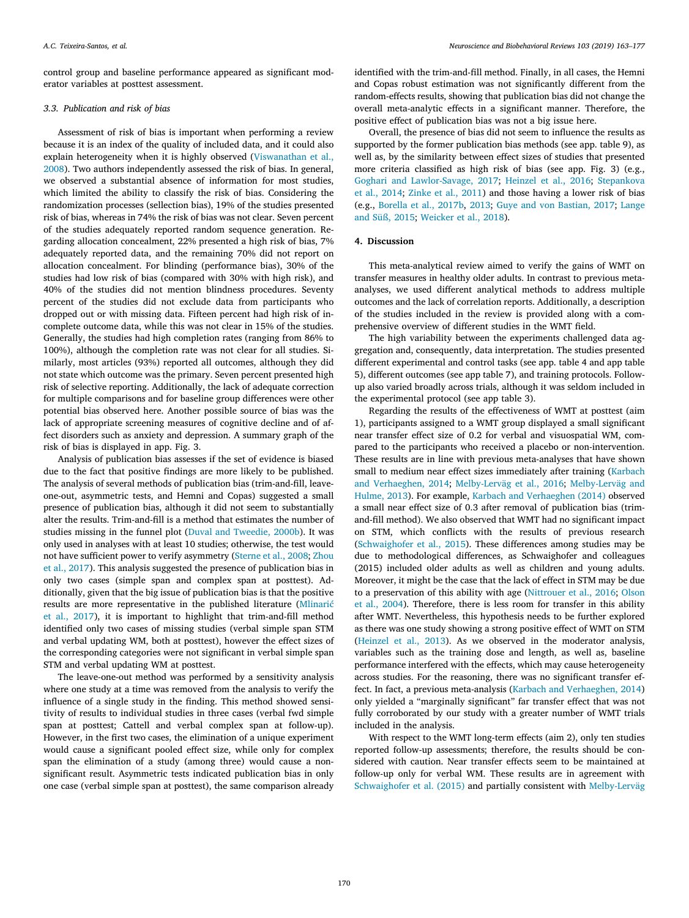control group and baseline performance appeared as significant moderator variables at posttest assessment.

## *3.3. Publication and risk of bias*

Assessment of risk of bias is important when performing a review because it is an index of the quality of included data, and it could also explain heterogeneity when it is highly observed([Viswanathan et al.,](#page-14-15) [2008\)](#page-14-15). Two authors independently assessed the risk of bias. In general, we observed a substantial absence of information for most studies, which limited the ability to classify the risk of bias. Considering the randomization processes (sellection bias), 19% of the studies presented risk of bias, whereas in 74% the risk of bias was not clear. Seven percent of the studies adequately reported random sequence generation. Regarding allocation concealment, 22% presented a high risk of bias, 7% adequately reported data, and the remaining 70% did not report on allocation concealment. For blinding (performance bias), 30% of the studies had low risk of bias (compared with 30% with high risk), and 40% of the studies did not mention blindness procedures. Seventy percent of the studies did not exclude data from participants who dropped out or with missing data. Fifteen percent had high risk of incomplete outcome data, while this was not clear in 15% of the studies. Generally, the studies had high completion rates (ranging from 86% to 100%), although the completion rate was not clear for all studies. Similarly, most articles (93%) reported all outcomes, although they did not state which outcome was the primary. Seven percent presented high risk of selective reporting. Additionally, the lack of adequate correction for multiple comparisons and for baseline group differences were other potential bias observed here. Another possible source of bias was the lack of appropriate screening measures of cognitive decline and of affect disorders such as anxiety and depression. A summary graph of the risk of bias is displayed in app. Fig. 3.

Analysis of publication bias assesses if the set of evidence is biased due to the fact that positive findings are more likely to be published. The analysis of several methods of publication bias (trim-and-fill, leaveone-out, asymmetric tests, and Hemni and Copas) suggested a small presence of publication bias, although it did not seem to substantially alter the results. Trim-and-fill is a method that estimates the number of studies missing in the funnel plot([Duval and Tweedie, 2000b](#page-12-38)). It was only used in analyses with at least 10 studies; otherwise, the test would not have sufficient power to verify asymmetry [\(Sterne et al., 2008;](#page-13-41) [Zhou](#page-14-13) [et al., 2017](#page-14-13)). This analysis suggested the presence of publication bias in only two cases (simple span and complex span at posttest). Additionally, given that the big issue of publication bias is that the positive results are more representative in the published literature [\(Mlinarić](#page-13-42) [et al., 2017](#page-13-42)), it is important to highlight that trim-and-fill method identified only two cases of missing studies (verbal simple span STM and verbal updating WM, both at posttest), however the effect sizes of the corresponding categories were not significant in verbal simple span STM and verbal updating WM at posttest.

The leave-one-out method was performed by a sensitivity analysis where one study at a time was removed from the analysis to verify the influence of a single study in the finding. This method showed sensitivity of results to individual studies in three cases (verbal fwd simple span at posttest; Cattell and verbal complex span at follow-up). However, in the first two cases, the elimination of a unique experiment would cause a significant pooled effect size, while only for complex span the elimination of a study (among three) would cause a nonsignificant result. Asymmetric tests indicated publication bias in only one case (verbal simple span at posttest), the same comparison already identified with the trim-and-fill method. Finally, in all cases, the Hemni and Copas robust estimation was not significantly different from the random-effects results, showing that publication bias did not change the overall meta-analytic effects in a significant manner. Therefore, the positive effect of publication bias was not a big issue here.

Overall, the presence of bias did not seem to influence the results as supported by the former publication bias methods (see app. table 9), as well as, by the similarity between effect sizes of studies that presented more criteria classified as high risk of bias (see app. Fig. 3) (e.g., [Goghari and Lawlor-Savage, 2017](#page-12-41); [Heinzel et al., 2016;](#page-12-42) [Stepankova](#page-13-18) [et al., 2014;](#page-13-18) [Zinke et al., 2011](#page-14-7)) and those having a lower risk of bias (e.g., [Borella et al., 2017b](#page-12-18), [2013](#page-12-14); [Guye and von Bastian, 2017;](#page-12-43) [Lange](#page-13-43) [and Süß, 2015;](#page-13-43) [Weicker et al., 2018\)](#page-14-11).

# **4. Discussion**

This meta-analytical review aimed to verify the gains of WMT on transfer measures in healthy older adults. In contrast to previous metaanalyses, we used different analytical methods to address multiple outcomes and the lack of correlation reports. Additionally, a description of the studies included in the review is provided along with a comprehensive overview of different studies in the WMT field.

The high variability between the experiments challenged data aggregation and, consequently, data interpretation. The studies presented different experimental and control tasks (see app. table 4 and app table 5), different outcomes (see app table 7), and training protocols. Followup also varied broadly across trials, although it was seldom included in the experimental protocol (see app table 3).

Regarding the results of the effectiveness of WMT at posttest (aim 1), participants assigned to a WMT group displayed a small significant near transfer effect size of 0.2 for verbal and visuospatial WM, compared to the participants who received a placebo or non-intervention. These results are in line with previous meta-analyses that have shown small to medium near effect sizes immediately after training([Karbach](#page-12-10) [and Verhaeghen, 2014;](#page-12-10) [Melby-Lerväg et al., 2016;](#page-13-17) [Melby-Lerväg and](#page-13-15) [Hulme, 2013\)](#page-13-15). For example, [Karbach and Verhaeghen \(2014\)](#page-12-10) observed a small near effect size of 0.3 after removal of publication bias (trimand-fill method). We also observed that WMT had no significant impact on STM, which conflicts with the results of previous research ([Schwaighofer et al., 2015\)](#page-13-16). These differences among studies may be due to methodological differences, as Schwaighofer and colleagues (2015) included older adults as well as children and young adults. Moreover, it might be the case that the lack of effect in STM may be due to a preservation of this ability with age [\(Nittrouer et al., 2016;](#page-13-44) [Olson](#page-13-45) [et al., 2004\)](#page-13-45). Therefore, there is less room for transfer in this ability after WMT. Nevertheless, this hypothesis needs to be further explored as there was one study showing a strong positive effect of WMT on STM ([Heinzel et al., 2013](#page-12-44)). As we observed in the moderator analysis, variables such as the training dose and length, as well as, baseline performance interfered with the effects, which may cause heterogeneity across studies. For the reasoning, there was no significant transfer effect. In fact, a previous meta-analysis [\(Karbach and Verhaeghen, 2014\)](#page-12-10) only yielded a "marginally significant" far transfer effect that was not fully corroborated by our study with a greater number of WMT trials included in the analysis.

With respect to the WMT long-term effects (aim 2), only ten studies reported follow-up assessments; therefore, the results should be considered with caution. Near transfer effects seem to be maintained at follow-up only for verbal WM. These results are in agreement with [Schwaighofer et al. \(2015\)](#page-13-16) and partially consistent with [Melby-Lerväg](#page-13-17)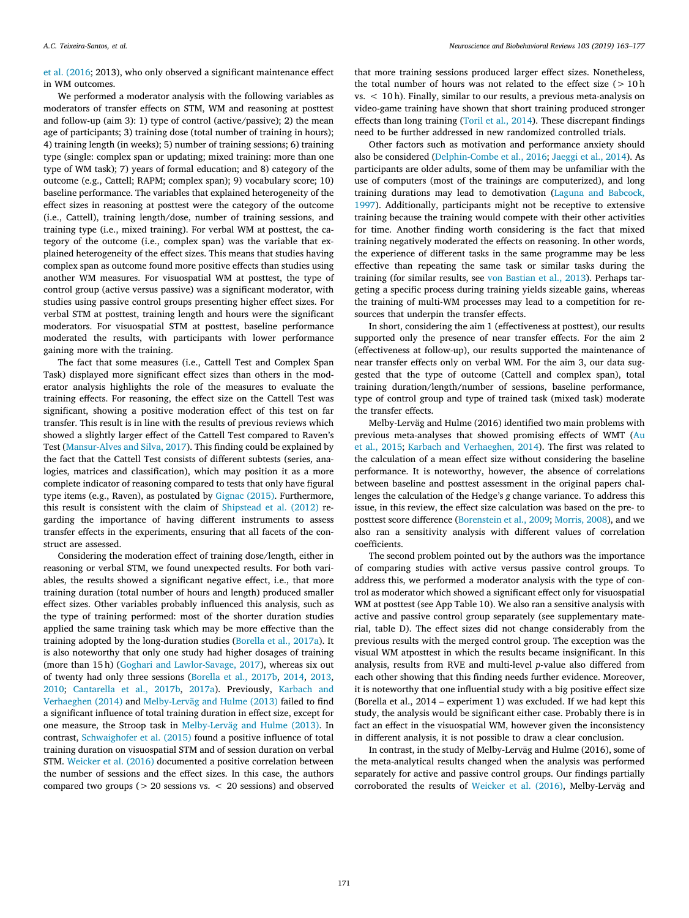[et al. \(2016](#page-13-17); 2013), who only observed a significant maintenance effect in WM outcomes.

We performed a moderator analysis with the following variables as moderators of transfer effects on STM, WM and reasoning at posttest and follow-up (aim 3): 1) type of control (active/passive); 2) the mean age of participants; 3) training dose (total number of training in hours); 4) training length (in weeks); 5) number of training sessions; 6) training type (single: complex span or updating; mixed training: more than one type of WM task); 7) years of formal education; and 8) category of the outcome (e.g., Cattell; RAPM; complex span); 9) vocabulary score; 10) baseline performance. The variables that explained heterogeneity of the effect sizes in reasoning at posttest were the category of the outcome (i.e., Cattell), training length/dose, number of training sessions, and training type (i.e., mixed training). For verbal WM at posttest, the category of the outcome (i.e., complex span) was the variable that explained heterogeneity of the effect sizes. This means that studies having complex span as outcome found more positive effects than studies using another WM measures. For visuospatial WM at posttest, the type of control group (active versus passive) was a significant moderator, with studies using passive control groups presenting higher effect sizes. For verbal STM at posttest, training length and hours were the significant moderators. For visuospatial STM at posttest, baseline performance moderated the results, with participants with lower performance gaining more with the training.

The fact that some measures (i.e., Cattell Test and Complex Span Task) displayed more significant effect sizes than others in the moderator analysis highlights the role of the measures to evaluate the training effects. For reasoning, the effect size on the Cattell Test was significant, showing a positive moderation effect of this test on far transfer. This result is in line with the results of previous reviews which showed a slightly larger effect of the Cattell Test compared to Raven's Test [\(Mansur-Alves and Silva, 2017](#page-13-21)). This finding could be explained by the fact that the Cattell Test consists of different subtests (series, analogies, matrices and classification), which may position it as a more complete indicator of reasoning compared to tests that only have figural type items (e.g., Raven), as postulated by [Gignac \(2015\)](#page-12-45). Furthermore, this result is consistent with the claim of [Shipstead et al. \(2012\)](#page-13-33) regarding the importance of having different instruments to assess transfer effects in the experiments, ensuring that all facets of the construct are assessed.

Considering the moderation effect of training dose/length, either in reasoning or verbal STM, we found unexpected results. For both variables, the results showed a significant negative effect, i.e., that more training duration (total number of hours and length) produced smaller effect sizes. Other variables probably influenced this analysis, such as the type of training performed: most of the shorter duration studies applied the same training task which may be more effective than the training adopted by the long-duration studies([Borella et al., 2017a\)](#page-12-16). It is also noteworthy that only one study had higher dosages of training (more than 15 h)([Goghari and Lawlor-Savage, 2017](#page-12-41)), whereas six out of twenty had only three sessions [\(Borella et al., 2017b,](#page-12-18) [2014](#page-12-17), [2013](#page-12-14), [2010;](#page-12-11) [Cantarella et al., 2017b,](#page-12-46) [2017a\)](#page-12-47). Previously, [Karbach and](#page-12-10) [Verhaeghen \(2014\)](#page-12-10) and [Melby-Lerväg and Hulme \(2013\)](#page-13-15) failed to find a significant influence of total training duration in effect size, except for one measure, the Stroop task in [Melby-Lerväg and Hulme \(2013\).](#page-13-15) In contrast, [Schwaighofer et al. \(2015\)](#page-13-16) found a positive influence of total training duration on visuospatial STM and of session duration on verbal STM. [Weicker et al. \(2016\)](#page-14-3) documented a positive correlation between the number of sessions and the effect sizes. In this case, the authors compared two groups ( $> 20$  sessions vs.  $< 20$  sessions) and observed

that more training sessions produced larger effect sizes. Nonetheless, the total number of hours was not related to the effect size  $(>10 h$ vs. < 10 h). Finally, similar to our results, a previous meta-analysis on video-game training have shown that short training produced stronger effects than long training([Toril et al., 2014](#page-13-46)). These discrepant findings need to be further addressed in new randomized controlled trials.

Other factors such as motivation and performance anxiety should also be considered [\(Delphin-Combe et al., 2016;](#page-12-48) [Jaeggi et al., 2014\)](#page-12-49). As participants are older adults, some of them may be unfamiliar with the use of computers (most of the trainings are computerized), and long training durations may lead to demotivation [\(Laguna and Babcock,](#page-12-50) [1997\)](#page-12-50). Additionally, participants might not be receptive to extensive training because the training would compete with their other activities for time. Another finding worth considering is the fact that mixed training negatively moderated the effects on reasoning. In other words, the experience of different tasks in the same programme may be less effective than repeating the same task or similar tasks during the training (for similar results, see [von Bastian et al., 2013\)](#page-14-5). Perhaps targeting a specific process during training yields sizeable gains, whereas the training of multi-WM processes may lead to a competition for resources that underpin the transfer effects.

In short, considering the aim 1 (effectiveness at posttest), our results supported only the presence of near transfer effects. For the aim 2 (effectiveness at follow-up), our results supported the maintenance of near transfer effects only on verbal WM. For the aim 3, our data suggested that the type of outcome (Cattell and complex span), total training duration/length**/**number of sessions, baseline performance, type of control group and type of trained task (mixed task) moderate the transfer effects.

Melby-Lerväg and Hulme (2016) identified two main problems with previous meta-analyses that showed promising effects of WMT([Au](#page-11-3) [et al., 2015;](#page-11-3) [Karbach and Verhaeghen, 2014\)](#page-12-10). The first was related to the calculation of a mean effect size without considering the baseline performance. It is noteworthy, however, the absence of correlations between baseline and posttest assessment in the original papers challenges the calculation of the Hedge's *g* change variance. To address this issue, in this review, the effect size calculation was based on the pre- to posttest score difference [\(Borenstein et al., 2009](#page-12-51); [Morris, 2008](#page-13-31)), and we also ran a sensitivity analysis with different values of correlation coefficients.

The second problem pointed out by the authors was the importance of comparing studies with active versus passive control groups. To address this, we performed a moderator analysis with the type of control as moderator which showed a significant effect only for visuospatial WM at posttest (see App Table 10). We also ran a sensitive analysis with active and passive control group separately (see supplementary material, table D). The effect sizes did not change considerably from the previous results with the merged control group. The exception was the visual WM atposttest in which the results became insignificant. In this analysis, results from RVE and multi-level *p*-value also differed from each other showing that this finding needs further evidence. Moreover, it is noteworthy that one influential study with a big positive effect size (Borella et al., 2014 – experiment 1) was excluded. If we had kept this study, the analysis would be significant either case. Probably there is in fact an effect in the visuospatial WM, however given the inconsistency in different analysis, it is not possible to draw a clear conclusion.

In contrast, in the study of Melby-Lerväg and Hulme (2016), some of the meta-analytical results changed when the analysis was performed separately for active and passive control groups. Our findings partially corroborated the results of [Weicker et al. \(2016\),](#page-14-3) Melby-Lerväg and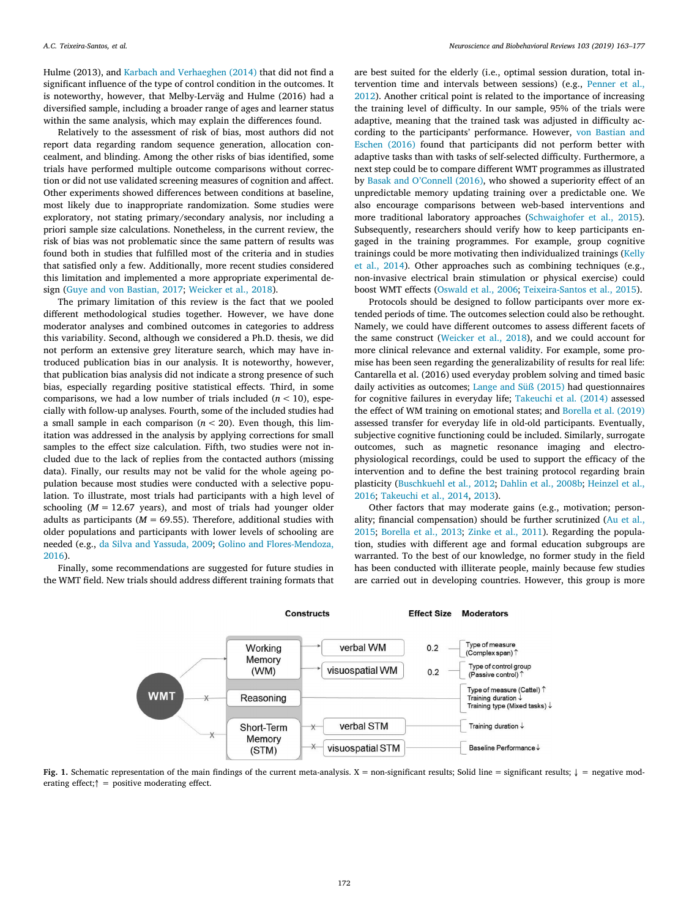Hulme (2013), and [Karbach and Verhaeghen \(2014\)](#page-12-10) that did not find a significant influence of the type of control condition in the outcomes. It is noteworthy, however, that Melby-Lerväg and Hulme (2016) had a diversified sample, including a broader range of ages and learner status within the same analysis, which may explain the differences found.

Relatively to the assessment of risk of bias, most authors did not report data regarding random sequence generation, allocation concealment, and blinding. Among the other risks of bias identified, some trials have performed multiple outcome comparisons without correction or did not use validated screening measures of cognition and affect. Other experiments showed differences between conditions at baseline, most likely due to inappropriate randomization. Some studies were exploratory, not stating primary/secondary analysis, nor including a priori sample size calculations. Nonetheless, in the current review, the risk of bias was not problematic since the same pattern of results was found both in studies that fulfilled most of the criteria and in studies that satisfied only a few. Additionally, more recent studies considered this limitation and implemented a more appropriate experimental design([Guye and von Bastian, 2017](#page-12-43); [Weicker et al., 2018\)](#page-14-11).

The primary limitation of this review is the fact that we pooled different methodological studies together. However, we have done moderator analyses and combined outcomes in categories to address this variability. Second, although we considered a Ph.D. thesis, we did not perform an extensive grey literature search, which may have introduced publication bias in our analysis. It is noteworthy, however, that publication bias analysis did not indicate a strong presence of such bias, especially regarding positive statistical effects. Third, in some comparisons, we had a low number of trials included  $(n < 10)$ , especially with follow-up analyses. Fourth, some of the included studies had a small sample in each comparison  $(n < 20)$ . Even though, this limitation was addressed in the analysis by applying corrections for small samples to the effect size calculation. Fifth, two studies were not included due to the lack of replies from the contacted authors (missing data). Finally, our results may not be valid for the whole ageing population because most studies were conducted with a selective population. To illustrate, most trials had participants with a high level of schooling  $(M = 12.67$  years), and most of trials had younger older adults as participants ( $M = 69.55$ ). Therefore, additional studies with older populations and participants with lower levels of schooling are needed (e.g., [da Silva and Yassuda, 2009;](#page-12-52) [Golino and Flores-Mendoza,](#page-12-53) [2016\)](#page-12-53).

<span id="page-9-0"></span>Finally, some recommendations are suggested for future studies in the WMT field. New trials should address different training formats that are best suited for the elderly (i.e., optimal session duration, total intervention time and intervals between sessions) (e.g., [Penner et al.,](#page-13-47) [2012\)](#page-13-47). Another critical point is related to the importance of increasing the training level of difficulty. In our sample, 95% of the trials were adaptive, meaning that the trained task was adjusted in difficulty according to the participants' performance. However, [von Bastian and](#page-14-1) [Eschen \(2016\)](#page-14-1) found that participants did not perform better with adaptive tasks than with tasks of self-selected difficulty. Furthermore, a next step could be to compare different WMT programmes as illustrated by [Basak and O'Connell \(2016\),](#page-11-5) who showed a superiority effect of an unpredictable memory updating training over a predictable one. We also encourage comparisons between web-based interventions and more traditional laboratory approaches [\(Schwaighofer et al., 2015](#page-13-16)). Subsequently, researchers should verify how to keep participants engaged in the training programmes. For example, group cognitive trainings could be more motivating then individualized trainings([Kelly](#page-12-54) [et al., 2014\)](#page-12-54). Other approaches such as combining techniques (e.g., non-invasive electrical brain stimulation or physical exercise) could boost WMT effects [\(Oswald et al., 2006;](#page-13-48) [Teixeira-Santos et al., 2015](#page-13-49)).

Protocols should be designed to follow participants over more extended periods of time. The outcomes selection could also be rethought. Namely, we could have different outcomes to assess different facets of the same construct [\(Weicker et al., 2018](#page-14-11)), and we could account for more clinical relevance and external validity. For example, some promise has been seen regarding the generalizability of results for real life: Cantarella et al. (2016) used everyday problem solving and timed basic daily activities as outcomes; [Lange and Süß \(2015\)](#page-13-43) had questionnaires for cognitive failures in everyday life; [Takeuchi et al. \(2014\)](#page-13-50) assessed the effect of WM training on emotional states; and [Borella et al. \(2019\)](#page-12-55) assessed transfer for everyday life in old-old participants. Eventually, subjective cognitive functioning could be included. Similarly, surrogate outcomes, such as magnetic resonance imaging and electrophysiological recordings, could be used to support the efficacy of the intervention and to define the best training protocol regarding brain plasticity [\(Buschkuehl et al., 2012;](#page-12-56) [Dahlin et al., 2008b;](#page-12-57) [Heinzel et al.,](#page-12-42) [2016;](#page-12-42) [Takeuchi et al., 2014](#page-13-50), [2013\)](#page-13-51).

Other factors that may moderate gains (e.g., motivation; personality; financial compensation) should be further scrutinized([Au et al.,](#page-11-3) [2015;](#page-11-3) [Borella et al., 2013;](#page-12-14) [Zinke et al., 2011](#page-14-7)). Regarding the population, studies with different age and formal education subgroups are warranted. To the best of our knowledge, no former study in the field has been conducted with illiterate people, mainly because few studies are carried out in developing countries. However, this group is more



**Fig. 1.** Schematic representation of the main findings of the current meta-analysis. X = non-significant results; Solid line = significant results;  $\downarrow$  = negative moderating effect;↑ = positive moderating effect.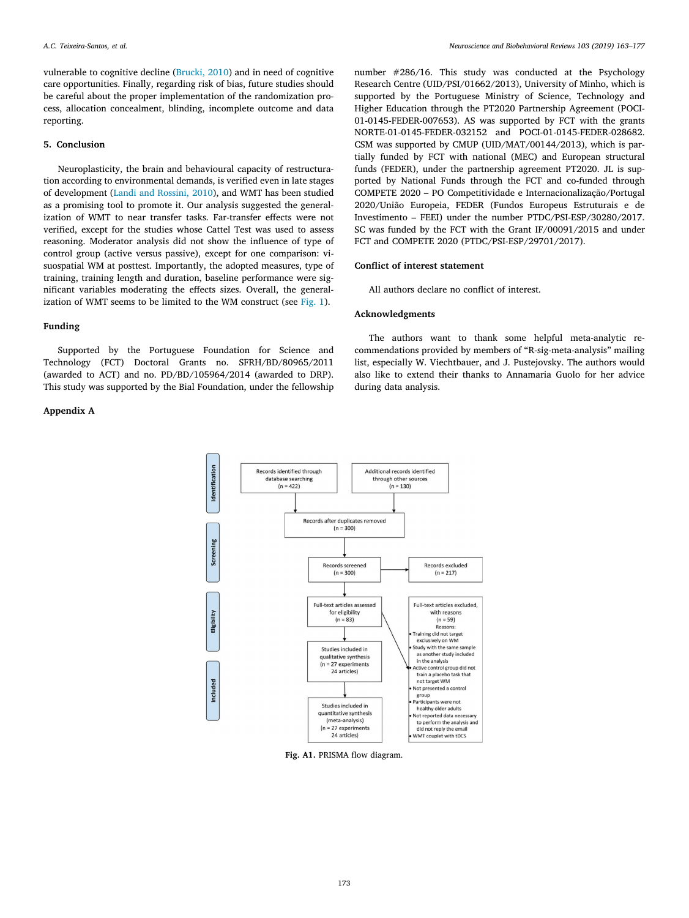vulnerable to cognitive decline [\(Brucki, 2010\)](#page-12-58) and in need of cognitive care opportunities. Finally, regarding risk of bias, future studies should be careful about the proper implementation of the randomization process, allocation concealment, blinding, incomplete outcome and data reporting.

## **5. Conclusion**

Neuroplasticity, the brain and behavioural capacity of restructuration according to environmental demands, is verified even in late stages of development [\(Landi and Rossini, 2010](#page-13-52)), and WMT has been studied as a promising tool to promote it. Our analysis suggested the generalization of WMT to near transfer tasks. Far-transfer effects were not verified, except for the studies whose Cattel Test was used to assess reasoning. Moderator analysis did not show the influence of type of control group (active versus passive), except for one comparison: visuospatial WM at posttest. Importantly, the adopted measures, type of training, training length and duration, baseline performance were significant variables moderating the effects sizes. Overall, the generalization of WMT seems to be limited to the WM construct (see [Fig. 1\)](#page-9-0).

#### **Funding**

Supported by the Portuguese Foundation for Science and Technology (FCT) Doctoral Grants no. SFRH/BD/80965/2011 (awarded to ACT) and no. PD/BD/105964/2014 (awarded to DRP). This study was supported by the Bial Foundation, under the fellowship

#### <span id="page-10-0"></span>**Appendix A**

number #286/16. This study was conducted at the Psychology Research Centre (UID/PSI/01662/2013), University of Minho, which is supported by the Portuguese Ministry of Science, Technology and Higher Education through the PT2020 Partnership Agreement (POCI-01-0145-FEDER-007653). AS was supported by FCT with the grants NORTE-01-0145-FEDER-032152 and POCI-01-0145-FEDER-028682. CSM was supported by CMUP (UID/MAT/00144/2013), which is partially funded by FCT with national (MEC) and European structural funds (FEDER), under the partnership agreement PT2020. JL is supported by National Funds through the FCT and co-funded through COMPETE 2020 – PO Competitividade e Internacionalização/Portugal 2020/União Europeia, FEDER (Fundos Europeus Estruturais e de Investimento – FEEI) under the number PTDC/PSI-ESP/30280/2017. SC was funded by the FCT with the Grant IF/00091/2015 and under FCT and COMPETE 2020 (PTDC/PSI-ESP/29701/2017).

# **Conflict of interest statement**

All authors declare no conflict of interest.

#### **Acknowledgments**

The authors want to thank some helpful meta-analytic recommendations provided by members of "R-sig-meta-analysis" mailing list, especially W. Viechtbauer, and J. Pustejovsky. The authors would also like to extend their thanks to Annamaria Guolo for her advice during data analysis.



**Fig. A1.** PRISMA flow diagram.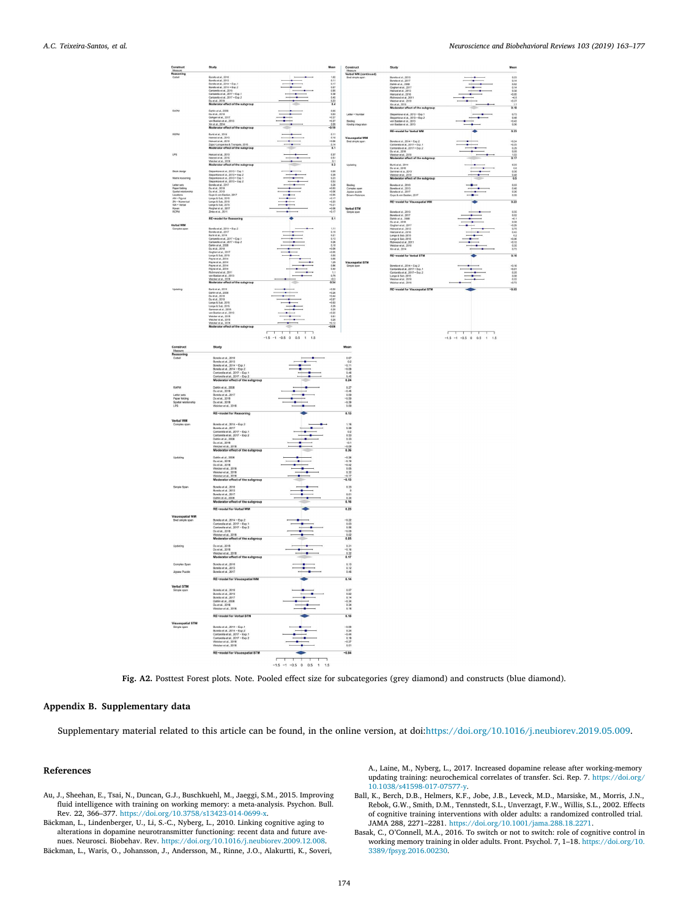### <span id="page-11-4"></span>*A.C. Teixeira-Santos, et al. Neuroscience and Biobehavioral Reviews 103 (2019) 163–177*





#### **Appendix B. Supplementary data**

Supplementary material related to this article can be found, in the online version, at doi[:https://doi.org/10.1016/j.neubiorev.2019.05.009](https://doi.org/10.1016/j.neubiorev.2019.05.009).

#### **References**

- <span id="page-11-3"></span>Au, J., Sheehan, E., Tsai, N., Duncan, G.J., Buschkuehl, M., Jaeggi, S.M., 2015. Improving fluid intelligence with training on working memory: a meta-analysis. Psychon. Bull. Rev. 22, 366–377. [https://doi.org/10.3758/s13423-014-0699-x.](https://doi.org/10.3758/s13423-014-0699-x)
- <span id="page-11-2"></span>Bäckman, L., Lindenberger, U., Li, S.-C., Nyberg, L., 2010. Linking cognitive aging to alterations in dopamine neurotransmitter functioning: recent data and future avenues. Neurosci. Biobehav. Rev. <https://doi.org/10.1016/j.neubiorev.2009.12.008>.

<span id="page-11-1"></span>Bäckman, L., Waris, O., Johansson, J., Andersson, M., Rinne, J.O., Alakurtti, K., Soveri,

A., Laine, M., Nyberg, L., 2017. Increased dopamine release after working-memory updating training: neurochemical correlates of transfer. Sci. Rep. 7. [https://doi.org/](https://doi.org/10.1038/s41598-017-07577-y) [10.1038/s41598-017-07577-y.](https://doi.org/10.1038/s41598-017-07577-y)

- <span id="page-11-0"></span>Ball, K., Berch, D.B., Helmers, K.F., Jobe, J.B., Leveck, M.D., Marsiske, M., Morris, J.N., Rebok, G.W., Smith, D.M., Tennstedt, S.L., Unverzagt, F.W., Willis, S.L., 2002. Effects of cognitive training interventions with older adults: a randomized controlled trial. JAMA 288, 2271–2281. [https://doi.org/10.1001/jama.288.18.2271.](https://doi.org/10.1001/jama.288.18.2271)
- <span id="page-11-5"></span>Basak, C., O'Connell, M.A., 2016. To switch or not to switch: role of cognitive control in working memory training in older adults. Front. Psychol. 7, 1–18. [https://doi.org/10.](https://doi.org/10.3389/fpsyg.2016.00230) [3389/fpsyg.2016.00230.](https://doi.org/10.3389/fpsyg.2016.00230)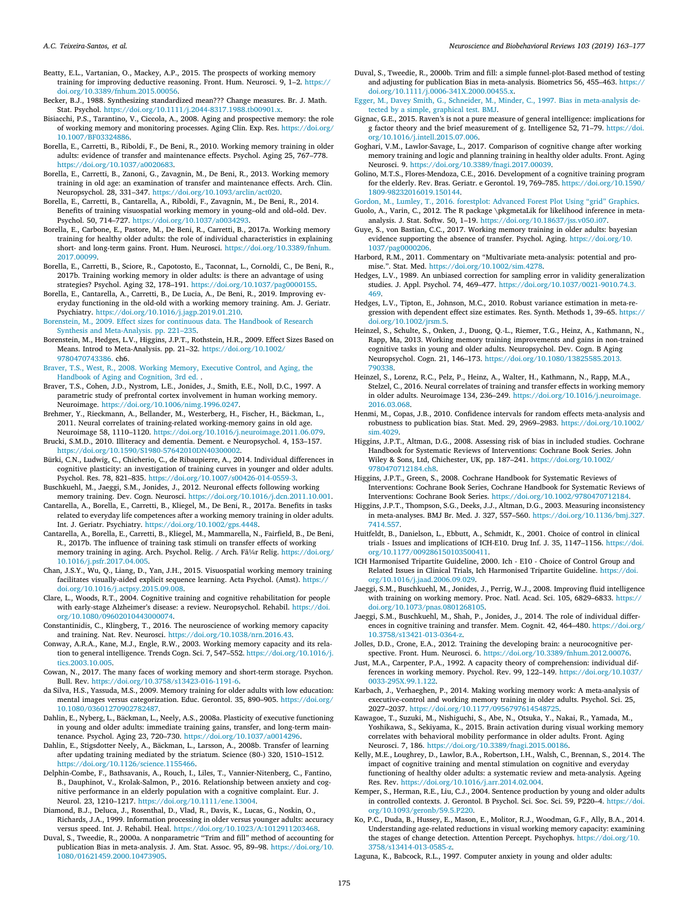<span id="page-12-12"></span>Beatty, E.L., Vartanian, O., Mackey, A.P., 2015. The prospects of working memory training for improving deductive reasoning. Front. Hum. Neurosci. 9, 1–2. [https://](https://doi.org/10.3389/fnhum.2015.00056) [doi.org/10.3389/fnhum.2015.00056.](https://doi.org/10.3389/fnhum.2015.00056)

- <span id="page-12-32"></span>Becker, B.J., 1988. Synthesizing standardized mean??? Change measures. Br. J. Math. Stat. Psychol. [https://doi.org/10.1111/j.2044-8317.1988.tb00901.x.](https://doi.org/10.1111/j.2044-8317.1988.tb00901.x)
- <span id="page-12-5"></span>Bisiacchi, P.S., Tarantino, V., Ciccola, A., 2008. Aging and prospective memory: the role of working memory and monitoring processes. Aging Clin. Exp. Res. [https://doi.org/](https://doi.org/10.1007/BF03324886) [10.1007/BF03324886](https://doi.org/10.1007/BF03324886).
- <span id="page-12-11"></span>Borella, E., Carretti, B., Riboldi, F., De Beni, R., 2010. Working memory training in older adults: evidence of transfer and maintenance effects. Psychol. Aging 25, 767–778. [https://doi.org/10.1037/a0020683.](https://doi.org/10.1037/a0020683)
- <span id="page-12-14"></span>Borella, E., Carretti, B., Zanoni, G., Zavagnin, M., De Beni, R., 2013. Working memory training in old age: an examination of transfer and maintenance effects. Arch. Clin. Neuropsychol. 28, 331–347. <https://doi.org/10.1093/arclin/act020>.
- <span id="page-12-17"></span>Borella, E., Carretti, B., Cantarella, A., Riboldi, F., Zavagnin, M., De Beni, R., 2014. Benefits of training visuospatial working memory in young–old and old–old. Dev. Psychol. 50, 714–727. [https://doi.org/10.1037/a0034293.](https://doi.org/10.1037/a0034293)
- <span id="page-12-16"></span>Borella, E., Carbone, E., Pastore, M., De Beni, R., Carretti, B., 2017a. Working memory training for healthy older adults: the role of individual characteristics in explaining short- and long-term gains. Front. Hum. Neurosci. [https://doi.org/10.3389/fnhum.](https://doi.org/10.3389/fnhum.2017.00099) [2017.00099.](https://doi.org/10.3389/fnhum.2017.00099)
- <span id="page-12-18"></span>Borella, E., Carretti, B., Sciore, R., Capotosto, E., Taconnat, L., Cornoldi, C., De Beni, R., 2017b. Training working memory in older adults: is there an advantage of using strategies? Psychol. Aging 32, 178–191. <https://doi.org/10.1037/pag0000155>.
- <span id="page-12-55"></span>Borella, E., Cantarella, A., Carretti, B., De Lucia, A., De Beni, R., 2019. Improving everyday functioning in the old-old with a working memory training. Am. J. Geriatr. Psychiatry. <https://doi.org/10.1016/j.jagp.2019.01.210>.
- <span id="page-12-33"></span>[Borenstein, M., 2009. Effect sizes for continuous data. The Handbook of Research](http://refhub.elsevier.com/S0149-7634(18)30850-9/sbref0075) [Synthesis and Meta-Analysis. pp. 221–235.](http://refhub.elsevier.com/S0149-7634(18)30850-9/sbref0075)
- <span id="page-12-51"></span>Borenstein, M., Hedges, L.V., Higgins, J.P.T., Rothstein, H.R., 2009. Effect Sizes Based on Means. Introd to Meta-Analysis. pp. 21–32. [https://doi.org/10.1002/](https://doi.org/10.1002/9780470743386) [9780470743386.](https://doi.org/10.1002/9780470743386) ch6.
- <span id="page-12-3"></span>[Braver, T.S., West, R., 2008. Working Memory, Executive Control, and Aging, the](http://refhub.elsevier.com/S0149-7634(18)30850-9/sbref0085) [Handbook of Aging and Cognition, 3rd ed.](http://refhub.elsevier.com/S0149-7634(18)30850-9/sbref0085) .
- <span id="page-12-22"></span>Braver, T.S., Cohen, J.D., Nystrom, L.E., Jonides, J., Smith, E.E., Noll, D.C., 1997. A parametric study of prefrontal cortex involvement in human working memory. Neuroimage. <https://doi.org/10.1006/nimg.1996.0247>.
- <span id="page-12-20"></span>Brehmer, Y., Rieckmann, A., Bellander, M., Westerberg, H., Fischer, H., Bäckman, L., 2011. Neural correlates of training-related working-memory gains in old age. Neuroimage 58, 1110–1120. <https://doi.org/10.1016/j.neuroimage.2011.06.079>.
- <span id="page-12-58"></span>Brucki, S.M.D., 2010. Illiteracy and dementia. Dement. e Neuropsychol. 4, 153–157. [https://doi.org/10.1590/S1980-57642010DN40300002.](https://doi.org/10.1590/S1980-57642010DN40300002)
- <span id="page-12-15"></span>Bürki, C.N., Ludwig, C., Chicherio, C., de Ribaupierre, A., 2014. Individual differences in cognitive plasticity: an investigation of training curves in younger and older adults. Psychol. Res. 78, 821–835. [https://doi.org/10.1007/s00426-014-0559-3.](https://doi.org/10.1007/s00426-014-0559-3)
- <span id="page-12-56"></span>Buschkuehl, M., Jaeggi, S.M., Jonides, J., 2012. Neuronal effects following working memory training. Dev. Cogn. Neurosci. <https://doi.org/10.1016/j.dcn.2011.10.001>.
- <span id="page-12-47"></span>Cantarella, A., Borella, E., Carretti, B., Kliegel, M., De Beni, R., 2017a. Benefits in tasks related to everyday life competences after a working memory training in older adults. Int. J. Geriatr. Psychiatry. [https://doi.org/10.1002/gps.4448.](https://doi.org/10.1002/gps.4448)
- <span id="page-12-46"></span>Cantarella, A., Borella, E., Carretti, B., Kliegel, M., Mammarella, N., Fairfield, B., De Beni, R., 2017b. The influence of training task stimuli on transfer effects of working memory training in aging. Arch. Psychol. Relig. / Arch. Fã1/4r Relig. [https://doi.org/](https://doi.org/10.1016/j.psfr.2017.04.005) [10.1016/j.psfr.2017.04.005.](https://doi.org/10.1016/j.psfr.2017.04.005)
- <span id="page-12-21"></span>Chan, J.S.Y., Wu, Q., Liang, D., Yan, J.H., 2015. Visuospatial working memory training facilitates visually-aided explicit sequence learning. Acta Psychol. (Amst). [https://](https://doi.org/10.1016/j.actpsy.2015.09.008) [doi.org/10.1016/j.actpsy.2015.09.008](https://doi.org/10.1016/j.actpsy.2015.09.008).
- <span id="page-12-1"></span>Clare, L., Woods, R.T., 2004. Cognitive training and cognitive rehabilitation for people with early-stage Alzheimer's disease: a review. Neuropsychol. Rehabil. [https://doi.](https://doi.org/10.1080/09602010443000074) [org/10.1080/09602010443000074](https://doi.org/10.1080/09602010443000074).
- <span id="page-12-9"></span>Constantinidis, C., Klingberg, T., 2016. The neuroscience of working memory capacity and training. Nat. Rev. Neurosci. <https://doi.org/10.1038/nrn.2016.43>. Conway, A.R.A., Kane, M.J., Engle, R.W., 2003. Working memory capacity and its rela-
- <span id="page-12-30"></span>tion to general intelligence. Trends Cogn. Sci. 7, 547–552. [https://doi.org/10.1016/j.](https://doi.org/10.1016/j.tics.2003.10.005) [tics.2003.10.005.](https://doi.org/10.1016/j.tics.2003.10.005)
- <span id="page-12-2"></span>Cowan, N., 2017. The many faces of working memory and short-term storage. Psychon. Bull. Rev. <https://doi.org/10.3758/s13423-016-1191-6>.
- <span id="page-12-52"></span>da Silva, H.S., Yassuda, M.S., 2009. Memory training for older adults with low education: mental images versus categorization. Educ. Gerontol. 35, 890–905. [https://doi.org/](https://doi.org/10.1080/03601270902782487) [10.1080/03601270902782487](https://doi.org/10.1080/03601270902782487).
- <span id="page-12-13"></span>Dahlin, E., Nyberg, L., Bäckman, L., Neely, A.S., 2008a. Plasticity of executive functioning in young and older adults: immediate training gains, transfer, and long-term maintenance. Psychol. Aging 23, 720–730. <https://doi.org/10.1037/a0014296>.
- <span id="page-12-57"></span>Dahlin, E., Stigsdotter Neely, A., Bäckman, L., Larsson, A., 2008b. Transfer of learning after updating training mediated by the striatum. Science (80-) 320, 1510–1512. [https://doi.org/10.1126/science.1155466.](https://doi.org/10.1126/science.1155466)
- <span id="page-12-48"></span>Delphin-Combe, F., Bathsavanis, A., Rouch, I., Liles, T., Vannier-Nitenberg, C., Fantino, B., Dauphinot, V., Krolak-Salmon, P., 2016. Relationship between anxiety and cognitive performance in an elderly population with a cognitive complaint. Eur. J. Neurol. 23, 1210–1217. [https://doi.org/10.1111/ene.13004.](https://doi.org/10.1111/ene.13004)
- <span id="page-12-6"></span>Diamond, B.J., Deluca, J., Rosenthal, D., Vlad, R., Davis, K., Lucas, G., Noskin, O., Richards, J.A., 1999. Information processing in older versus younger adults: accuracy versus speed. Int. J. Rehabil. Heal. [https://doi.org/10.1023/A:1012911203468.](https://doi.org/10.1023/A:1012911203468)
- <span id="page-12-37"></span>Duval, S., Tweedie, R., 2000a. A nonparametric "Trim and fill" method of accounting for publication Bias in meta-analysis. J. Am. Stat. Assoc. 95, 89–98. [https://doi.org/10.](https://doi.org/10.1080/01621459.2000.10473905) [1080/01621459.2000.10473905](https://doi.org/10.1080/01621459.2000.10473905).
- <span id="page-12-38"></span>Duval, S., Tweedie, R., 2000b. Trim and fill: a simple funnel-plot-Based method of testing and adjusting for publication Bias in meta-analysis. Biometrics 56, 455–463. [https://](https://doi.org/10.1111/j.0006-341X.2000.00455.x) [doi.org/10.1111/j.0006-341X.2000.00455.x.](https://doi.org/10.1111/j.0006-341X.2000.00455.x)
- <span id="page-12-36"></span>[Egger, M., Davey Smith, G., Schneider, M., Minder, C., 1997. Bias in meta-analysis de](http://refhub.elsevier.com/S0149-7634(18)30850-9/sbref0190)[tected by a simple, graphical test. BMJ.](http://refhub.elsevier.com/S0149-7634(18)30850-9/sbref0190)
- <span id="page-12-45"></span>Gignac, G.E., 2015. Raven's is not a pure measure of general intelligence: implications for g factor theory and the brief measurement of g. Intelligence 52, 71–79. [https://doi.](https://doi.org/10.1016/j.intell.2015.07.006) [org/10.1016/j.intell.2015.07.006](https://doi.org/10.1016/j.intell.2015.07.006).
- <span id="page-12-41"></span>Goghari, V.M., Lawlor-Savage, L., 2017. Comparison of cognitive change after working memory training and logic and planning training in healthy older adults. Front. Aging Neurosci. 9. [https://doi.org/10.3389/fnagi.2017.00039.](https://doi.org/10.3389/fnagi.2017.00039)
- <span id="page-12-53"></span>Golino, M.T.S., Flores-Mendoza, C.E., 2016. Development of a cognitive training program for the elderly. Rev. Bras. Geriatr. e Gerontol. 19, 769–785. [https://doi.org/10.1590/](https://doi.org/10.1590/1809-98232016019.150144) [1809-98232016019.150144.](https://doi.org/10.1590/1809-98232016019.150144)
- <span id="page-12-29"></span><span id="page-12-28"></span>[Gordon, M., Lumley, T., 2016. forestplot: Advanced Forest Plot Using "grid" Graphics](http://refhub.elsevier.com/S0149-7634(18)30850-9/sbref0210). Guolo, A., Varin, C., 2012. The R package \pkgmetaLik for likelihood inference in meta-
- analysis. J. Stat. Softw. 50, 1–19. [https://doi.org/10.18637/jss.v050.i07.](https://doi.org/10.18637/jss.v050.i07)
- <span id="page-12-43"></span>Guye, S., von Bastian, C.C., 2017. Working memory training in older adults: bayesian evidence supporting the absence of transfer. Psychol. Aging. [https://doi.org/10.](https://doi.org/10.1037/pag0000206) [1037/pag0000206](https://doi.org/10.1037/pag0000206).
- <span id="page-12-34"></span>Harbord, R.M., 2011. Commentary on "Multivariate meta-analysis: potential and promise.". Stat. Med. [https://doi.org/10.1002/sim.4278.](https://doi.org/10.1002/sim.4278)
- <span id="page-12-31"></span>Hedges, L.V., 1989. An unbiased correction for sampling error in validity generalization studies. J. Appl. Psychol. 74, 469–477. [https://doi.org/10.1037/0021-9010.74.3.](https://doi.org/10.1037/0021-9010.74.3.469) [469](https://doi.org/10.1037/0021-9010.74.3.469).
- <span id="page-12-35"></span>Hedges, L.V., Tipton, E., Johnson, M.C., 2010. Robust variance estimation in meta-regression with dependent effect size estimates. Res. Synth. Methods 1, 39–65. [https://](https://doi.org/10.1002/jrsm.5) [doi.org/10.1002/jrsm.5.](https://doi.org/10.1002/jrsm.5)
- <span id="page-12-44"></span>Heinzel, S., Schulte, S., Onken, J., Duong, Q.-L., Riemer, T.G., Heinz, A., Kathmann, N., Rapp, Ma, 2013. Working memory training improvements and gains in non-trained cognitive tasks in young and older adults. Neuropsychol. Dev. Cogn. B Aging Neuropsychol. Cogn. 21, 146–173. [https://doi.org/10.1080/13825585.2013.](https://doi.org/10.1080/13825585.2013.790338) [790338](https://doi.org/10.1080/13825585.2013.790338).
- <span id="page-12-42"></span>Heinzel, S., Lorenz, R.C., Pelz, P., Heinz, A., Walter, H., Kathmann, N., Rapp, M.A., Stelzel, C., 2016. Neural correlates of training and transfer effects in working memory in older adults. Neuroimage 134, 236–249. [https://doi.org/10.1016/j.neuroimage.](https://doi.org/10.1016/j.neuroimage.2016.03.068) [2016.03.068](https://doi.org/10.1016/j.neuroimage.2016.03.068).
- <span id="page-12-39"></span>Henmi, M., Copas, J.B., 2010. Confidence intervals for random effects meta-analysis and robustness to publication bias. Stat. Med. 29, 2969–2983. [https://doi.org/10.1002/](https://doi.org/10.1002/sim.4029) [sim.4029.](https://doi.org/10.1002/sim.4029)
- <span id="page-12-26"></span>Higgins, J.P.T., Altman, D.G., 2008. Assessing risk of bias in included studies. Cochrane Handbook for Systematic Reviews of Interventions: Cochrane Book Series. John Wiley & Sons, Ltd, Chichester, UK, pp. 187–241. [https://doi.org/10.1002/](https://doi.org/10.1002/9780470712184.ch8) [9780470712184.ch8](https://doi.org/10.1002/9780470712184.ch8).
- <span id="page-12-27"></span>Higgins, J.P.T., Green, S., 2008. Cochrane Handbook for Systematic Reviews of Interventions: Cochrane Book Series, Cochrane Handbook for Systematic Reviews of Interventions: Cochrane Book Series. [https://doi.org/10.1002/9780470712184.](https://doi.org/10.1002/9780470712184)
- <span id="page-12-40"></span>Higgins, J.P.T., Thompson, S.G., Deeks, J.J., Altman, D.G., 2003. Measuring inconsistency in meta-analyses. BMJ Br. Med. J. 327, 557–560. [https://doi.org/10.1136/bmj.327.](https://doi.org/10.1136/bmj.327.7414.557) [7414.557](https://doi.org/10.1136/bmj.327.7414.557).
- <span id="page-12-24"></span>Huitfeldt, B., Danielson, L., Ebbutt, A., Schmidt, K., 2001. Choice of control in clinical trials - Issues and implications of ICH-E10. Drug Inf. J. 35, 1147–1156. [https://doi.](https://doi.org/10.1177/009286150103500411) [org/10.1177/009286150103500411](https://doi.org/10.1177/009286150103500411).
- <span id="page-12-25"></span>ICH Harmonised Tripartite Guideline, 2000. Ich - E10 - Choice of Control Group and Related Issues in Clinical Trials, Ich Harmonised Tripartite Guideline. [https://doi.](https://doi.org/10.1016/j.jaad.2006.09.029) [org/10.1016/j.jaad.2006.09.029.](https://doi.org/10.1016/j.jaad.2006.09.029)
- <span id="page-12-19"></span>Jaeggi, S.M., Buschkuehl, M., Jonides, J., Perrig, W.J., 2008. Improving fluid intelligence with training on working memory. Proc. Natl. Acad. Sci. 105, 6829–6833. [https://](https://doi.org/10.1073/pnas.0801268105) [doi.org/10.1073/pnas.0801268105.](https://doi.org/10.1073/pnas.0801268105)
- <span id="page-12-49"></span>Jaeggi, S.M., Buschkuehl, M., Shah, P., Jonides, J., 2014. The role of individual differences in cognitive training and transfer. Mem. Cognit. 42, 464–480. [https://doi.org/](https://doi.org/10.3758/s13421-013-0364-z) [10.3758/s13421-013-0364-z.](https://doi.org/10.3758/s13421-013-0364-z)
- <span id="page-12-0"></span>Jolles, D.D., Crone, E.A., 2012. Training the developing brain: a neurocognitive perspective. Front. Hum. Neurosci. 6. <https://doi.org/10.3389/fnhum.2012.00076>.
- <span id="page-12-4"></span>Just, M.A., Carpenter, P.A., 1992. A capacity theory of comprehension: individual differences in working memory. Psychol. Rev. 99, 122–149. [https://doi.org/10.1037/](https://doi.org/10.1037/0033-295X.99.1.122) [0033-295X.99.1.122.](https://doi.org/10.1037/0033-295X.99.1.122)
- <span id="page-12-10"></span>Karbach, J., Verhaeghen, P., 2014. Making working memory work: A meta-analysis of executive-control and working memory training in older adults. Psychol. Sci. 25, 2027–2037. [https://doi.org/10.1177/0956797614548725.](https://doi.org/10.1177/0956797614548725)
- <span id="page-12-23"></span>Kawagoe, T., Suzuki, M., Nishiguchi, S., Abe, N., Otsuka, Y., Nakai, R., Yamada, M., Yoshikawa, S., Sekiyama, K., 2015. Brain activation during visual working memory correlates with behavioral mobility performance in older adults. Front. Aging Neurosci. 7, 186. <https://doi.org/10.3389/fnagi.2015.00186>.
- <span id="page-12-54"></span>Kelly, M.E., Loughrey, D., Lawlor, B.A., Robertson, I.H., Walsh, C., Brennan, S., 2014. The impact of cognitive training and mental stimulation on cognitive and everyday functioning of healthy older adults: a systematic review and meta-analysis. Ageing Res. Rev. <https://doi.org/10.1016/j.arr.2014.02.004>.
- <span id="page-12-8"></span>Kemper, S., Herman, R.E., Liu, C.J., 2004. Sentence production by young and older adults in controlled contexts. J. Gerontol. B Psychol. Sci. Soc. Sci. 59, P220–4. [https://doi.](https://doi.org/10.1093/geronb/59.5.P220) [org/10.1093/geronb/59.5.P220.](https://doi.org/10.1093/geronb/59.5.P220)
- <span id="page-12-7"></span>Ko, P.C., Duda, B., Hussey, E., Mason, E., Molitor, R.J., Woodman, G.F., Ally, B.A., 2014. Understanding age-related reductions in visual working memory capacity: examining the stages of change detection. Attention Percept. Psychophys. [https://doi.org/10.](https://doi.org/10.3758/s13414-013-0585-z) [3758/s13414-013-0585-z.](https://doi.org/10.3758/s13414-013-0585-z)
- <span id="page-12-50"></span>Laguna, K., Babcock, R.L., 1997. Computer anxiety in young and older adults: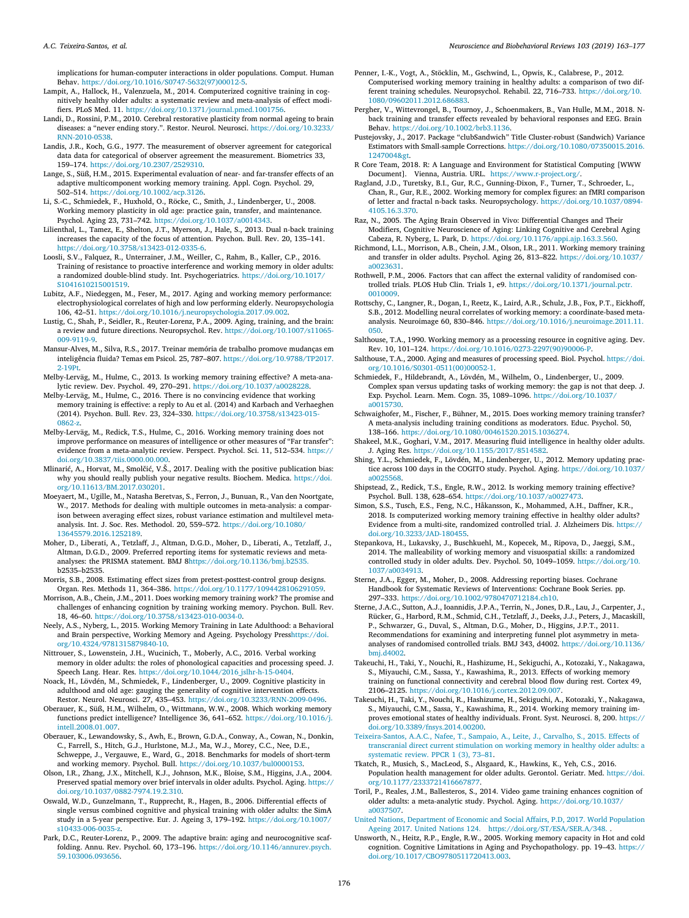implications for human-computer interactions in older populations. Comput. Human Behav. [https://doi.org/10.1016/S0747-5632\(97\)00012-5](https://doi.org/10.1016/S0747-5632(97)00012-5).

- <span id="page-13-13"></span>Lampit, A., Hallock, H., Valenzuela, M., 2014. Computerized cognitive training in cognitively healthy older adults: a systematic review and meta-analysis of effect modifiers. PLoS Med. 11. <https://doi.org/10.1371/journal.pmed.1001756>.
- <span id="page-13-52"></span>Landi, D., Rossini, P.M., 2010. Cerebral restorative plasticity from normal ageing to brain diseases: a "never ending story.". Restor. Neurol. Neurosci. [https://doi.org/10.3233/](https://doi.org/10.3233/RNN-2010-0538) [RNN-2010-0538.](https://doi.org/10.3233/RNN-2010-0538)
- <span id="page-13-34"></span>Landis, J.R., Koch, G.G., 1977. The measurement of observer agreement for categorical data data for categorical of observer agreement the measurement. Biometrics 33, 159–174. <https://doi.org/10.2307/2529310>.
- <span id="page-13-43"></span>Lange, S., Süß, H.M., 2015. Experimental evaluation of near- and far-transfer effects of an adaptive multicomponent working memory training. Appl. Cogn. Psychol. 29, 502–514. [https://doi.org/10.1002/acp.3126.](https://doi.org/10.1002/acp.3126)
- <span id="page-13-12"></span>Li, S.-C., Schmiedek, F., Huxhold, O., Röcke, C., Smith, J., Lindenberger, U., 2008. Working memory plasticity in old age: practice gain, transfer, and maintenance. Psychol. Aging 23, 731–742. [https://doi.org/10.1037/a0014343.](https://doi.org/10.1037/a0014343)
- <span id="page-13-20"></span>Lilienthal, L., Tamez, E., Shelton, J.T., Myerson, J., Hale, S., 2013. Dual n-back training increases the capacity of the focus of attention. Psychon. Bull. Rev. 20, 135–141. [https://doi.org/10.3758/s13423-012-0335-6.](https://doi.org/10.3758/s13423-012-0335-6)
- <span id="page-13-24"></span>Loosli, S.V., Falquez, R., Unterrainer, J.M., Weiller, C., Rahm, B., Kaller, C.P., 2016. Training of resistance to proactive interference and working memory in older adults: a randomized double-blind study. Int. Psychogeriatrics. [https://doi.org/10.1017/](https://doi.org/10.1017/S1041610215001519) [S1041610215001519](https://doi.org/10.1017/S1041610215001519).
- <span id="page-13-4"></span>Lubitz, A.F., Niedeggen, M., Feser, M., 2017. Aging and working memory performance: electrophysiological correlates of high and low performing elderly. Neuropsychologia 106, 42–51. [https://doi.org/10.1016/j.neuropsychologia.2017.09.002.](https://doi.org/10.1016/j.neuropsychologia.2017.09.002)
- <span id="page-13-1"></span>Lustig, C., Shah, P., Seidler, R., Reuter-Lorenz, P.A., 2009. Aging, training, and the brain: a review and future directions. Neuropsychol. Rev. [https://doi.org/10.1007/s11065-](https://doi.org/10.1007/s11065-009-9119-9) [009-9119-9](https://doi.org/10.1007/s11065-009-9119-9).
- <span id="page-13-21"></span>Mansur-Alves, M., Silva, R.S., 2017. Treinar memória de trabalho promove mudanças em inteligência fluida? Temas em Psicol. 25, 787–807. [https://doi.org/10.9788/TP2017.](https://doi.org/10.9788/TP2017.2-19Pt) [2-19Pt](https://doi.org/10.9788/TP2017.2-19Pt).
- <span id="page-13-15"></span>Melby-Lerväg, M., Hulme, C., 2013. Is working memory training effective? A meta-analytic review. Dev. Psychol. 49, 270–291. <https://doi.org/10.1037/a0028228>.
- <span id="page-13-14"></span>Melby-Lerväg, M., Hulme, C., 2016. There is no convincing evidence that working memory training is effective: a reply to Au et al. (2014) and Karbach and Verhaeghen (2014). Psychon. Bull. Rev. 23, 324–330. [https://doi.org/10.3758/s13423-015-](https://doi.org/10.3758/s13423-015-0862-z) [0862-z.](https://doi.org/10.3758/s13423-015-0862-z)
- <span id="page-13-17"></span>Melby-Lerväg, M., Redick, T.S., Hulme, C., 2016. Working memory training does not improve performance on measures of intelligence or other measures of "Far transfer": evidence from a meta-analytic review. Perspect. Psychol. Sci. 11, 512–534. [https://](https://doi.org/10.3837/tiis.0000.00.000) [doi.org/10.3837/tiis.0000.00.000](https://doi.org/10.3837/tiis.0000.00.000).
- <span id="page-13-42"></span>Mlinarić, A., Horvat, M., Smolčić, V.Š., 2017. Dealing with the positive publication bias: why you should really publish your negative results. Biochem. Medica. [https://doi.](https://doi.org/10.11613/BM.2017.030201) [org/10.11613/BM.2017.030201.](https://doi.org/10.11613/BM.2017.030201)
- <span id="page-13-30"></span>Moeyaert, M., Ugille, M., Natasha Beretvas, S., Ferron, J., Bunuan, R., Van den Noortgate, W., 2017. Methods for dealing with multiple outcomes in meta-analysis: a comparison between averaging effect sizes, robust variance estimation and multilevel metaanalysis. Int. J. Soc. Res. Methodol. 20, 559–572. [https://doi.org/10.1080/](https://doi.org/10.1080/13645579.2016.1252189) [13645579.2016.1252189](https://doi.org/10.1080/13645579.2016.1252189).
- <span id="page-13-32"></span>Moher, D., Liberati, A., Tetzlaff, J., Altman, D.G.D., Moher, D., Liberati, A., Tetzlaff, J., Altman, D.G.D., 2009. Preferred reporting items for systematic reviews and metaanalyses: the PRISMA statement. BMJ [8https://doi.org/10.1136/bmj.b2535.](https://doi.org/10.1136/bmj.b2535) [b2535–b2535.](https://doi.org/10.1136/bmj.b2535)

<span id="page-13-31"></span>Morris, S.B., 2008. Estimating effect sizes from pretest-posttest-control group designs. Organ. Res. Methods 11, 364–386. [https://doi.org/10.1177/1094428106291059.](https://doi.org/10.1177/1094428106291059)

- <span id="page-13-2"></span>Morrison, A.B., Chein, J.M., 2011. Does working memory training work? The promise and challenges of enhancing cognition by training working memory. Psychon. Bull. Rev. 18, 46–60. <https://doi.org/10.3758/s13423-010-0034-0>.
- <span id="page-13-3"></span>Neely, A.S., Nyberg, L., 2015. Working Memory Training in Late Adulthood: a Behavioral and Brain perspective, Working Memory and Ageing. Psychology Press[https://doi.](https://doi.org/10.4324/9781315879840-10) [org/10.4324/9781315879840-10](https://doi.org/10.4324/9781315879840-10).
- <span id="page-13-44"></span>Nittrouer, S., Lowenstein, J.H., Wucinich, T., Moberly, A.C., 2016. Verbal working memory in older adults: the roles of phonological capacities and processing speed. J. Speech Lang. Hear. Res. [https://doi.org/10.1044/2016\\_jslhr-h-15-0404](https://doi.org/10.1044/2016_jslhr-h-15-0404).
- <span id="page-13-11"></span>Noack, H., Lövdén, M., Schmiedek, F., Lindenberger, U., 2009. Cognitive plasticity in adulthood and old age: gauging the generality of cognitive intervention effects. Restor. Neurol. Neurosci. 27, 435–453. [https://doi.org/10.3233/RNN-2009-0496.](https://doi.org/10.3233/RNN-2009-0496)
- <span id="page-13-37"></span>Oberauer, K., Süß, H.M., Wilhelm, O., Wittmann, W.W., 2008. Which working memory functions predict intelligence? Intelligence 36, 641–652. [https://doi.org/10.1016/j.](https://doi.org/10.1016/j.intell.2008.01.007) [intell.2008.01.007.](https://doi.org/10.1016/j.intell.2008.01.007)
- <span id="page-13-28"></span>Oberauer, K., Lewandowsky, S., Awh, E., Brown, G.D.A., Conway, A., Cowan, N., Donkin, C., Farrell, S., Hitch, G.J., Hurlstone, M.J., Ma, W.J., Morey, C.C., Nee, D.E., Schweppe, J., Vergauwe, E., Ward, G., 2018. Benchmarks for models of short-term and working memory. Psychol. Bull. <https://doi.org/10.1037/bul0000153>.
- <span id="page-13-45"></span>Olson, I.R., Zhang, J.X., Mitchell, K.J., Johnson, M.K., Bloise, S.M., Higgins, J.A., 2004. Preserved spatial memory over brief intervals in older adults. Psychol. Aging. [https://](https://doi.org/10.1037/0882-7974.19.2.310) [doi.org/10.1037/0882-7974.19.2.310.](https://doi.org/10.1037/0882-7974.19.2.310)
- <span id="page-13-48"></span>Oswald, W.D., Gunzelmann, T., Rupprecht, R., Hagen, B., 2006. Differential effects of single versus combined cognitive and physical training with older adults: the SimA study in a 5-year perspective. Eur. J. Ageing 3, 179–192. [https://doi.org/10.1007/](https://doi.org/10.1007/s10433-006-0035-z) [s10433-006-0035-z](https://doi.org/10.1007/s10433-006-0035-z).
- <span id="page-13-5"></span>Park, D.C., Reuter-Lorenz, P., 2009. The adaptive brain: aging and neurocognitive scaffolding. Annu. Rev. Psychol. 60, 173–196. [https://doi.org/10.1146/annurev.psych.](https://doi.org/10.1146/annurev.psych.59.103006.093656) [59.103006.093656](https://doi.org/10.1146/annurev.psych.59.103006.093656).
- <span id="page-13-47"></span>Penner, I.-K., Vogt, A., Stöcklin, M., Gschwind, L., Opwis, K., Calabrese, P., 2012. Computerised working memory training in healthy adults: a comparison of two different training schedules. Neuropsychol. Rehabil. 22, 716–733. [https://doi.org/10.](https://doi.org/10.1080/09602011.2012.686883) [1080/09602011.2012.686883](https://doi.org/10.1080/09602011.2012.686883).
- <span id="page-13-40"></span>Pergher, V., Wittevrongel, B., Tournoy, J., Schoenmakers, B., Van Hulle, M.M., 2018. Nback training and transfer effects revealed by behavioral responses and EEG. Brain Behav. [https://doi.org/10.1002/brb3.1136.](https://doi.org/10.1002/brb3.1136)
- <span id="page-13-35"></span>Pustejovsky, J., 2017. Package "clubSandwich" Title Cluster-robust (Sandwich) Variance Estimators with Small-sample Corrections. [https://doi.org/10.1080/07350015.2016.](https://doi.org/10.1080/07350015.2016.1247004>) [1247004&gt.](https://doi.org/10.1080/07350015.2016.1247004>)
- <span id="page-13-36"></span>R Core Team, 2018. R: A Language and Environment for Statistical Computing [WWW Document]. Vienna, Austria. URL. [https://www.r-project.org/.](https://www.r-project.org/)
- <span id="page-13-27"></span>Ragland, J.D., Turetsky, B.I., Gur, R.C., Gunning-Dixon, F., Turner, T., Schroeder, L., Chan, R., Gur, R.E., 2002. Working memory for complex figures: an fMRI comparison of letter and fractal n-back tasks. Neuropsychology. [https://doi.org/10.1037/0894-](https://doi.org/10.1037/0894-4105.16.3.370) [4105.16.3.370.](https://doi.org/10.1037/0894-4105.16.3.370)
- <span id="page-13-6"></span>Raz, N., 2005. The Aging Brain Observed in Vivo: Differential Changes and Their Modifiers, Cognitive Neuroscience of Aging: Linking Cognitive and Cerebral Aging Cabeza, R. Nyberg, L. Park, D. <https://doi.org/10.1176/appi.ajp.163.3.560>.
- <span id="page-13-19"></span>Richmond, L.L., Morrison, A.B., Chein, J.M., Olson, I.R., 2011. Working memory training and transfer in older adults. Psychol. Aging 26, 813–822. [https://doi.org/10.1037/](https://doi.org/10.1037/a0023631) [a0023631.](https://doi.org/10.1037/a0023631)
- <span id="page-13-23"></span>Rothwell, P.M., 2006. Factors that can affect the external validity of randomised controlled trials. PLOS Hub Clin. Trials 1, e9. [https://doi.org/10.1371/journal.pctr.](https://doi.org/10.1371/journal.pctr.0010009) [0010009.](https://doi.org/10.1371/journal.pctr.0010009)
- <span id="page-13-7"></span>Rottschy, C., Langner, R., Dogan, I., Reetz, K., Laird, A.R., Schulz, J.B., Fox, P.T., Eickhoff, S.B., 2012. Modelling neural correlates of working memory: a coordinate-based metaanalysis. Neuroimage 60, 830–846. [https://doi.org/10.1016/j.neuroimage.2011.11.](https://doi.org/10.1016/j.neuroimage.2011.11.050) [050](https://doi.org/10.1016/j.neuroimage.2011.11.050).
- <span id="page-13-8"></span>Salthouse, T.A., 1990. Working memory as a processing resource in cognitive aging. Dev. Rev. 10, 101–124. [https://doi.org/10.1016/0273-2297\(90\)90006-P](https://doi.org/10.1016/0273-2297(90)90006-P).
- <span id="page-13-22"></span>Salthouse, T.A., 2000. Aging and measures of processing speed. Biol. Psychol. [https://doi.](https://doi.org/10.1016/S0301-0511(00)00052-1) [org/10.1016/S0301-0511\(00\)00052-1](https://doi.org/10.1016/S0301-0511(00)00052-1).
- <span id="page-13-39"></span>Schmiedek, F., Hildebrandt, A., Lövdén, M., Wilhelm, O., Lindenberger, U., 2009. Complex span versus updating tasks of working memory: the gap is not that deep. J. Exp. Psychol. Learn. Mem. Cogn. 35, 1089–1096. [https://doi.org/10.1037/](https://doi.org/10.1037/a0015730) [a0015730.](https://doi.org/10.1037/a0015730)
- <span id="page-13-16"></span>Schwaighofer, M., Fischer, F., Bühner, M., 2015. Does working memory training transfer? A meta-analysis including training conditions as moderators. Educ. Psychol. 50, 138–166. [https://doi.org/10.1080/00461520.2015.1036274.](https://doi.org/10.1080/00461520.2015.1036274)
- <span id="page-13-10"></span>Shakeel, M.K., Goghari, V.M., 2017. Measuring fluid intelligence in healthy older adults. J. Aging Res. <https://doi.org/10.1155/2017/8514582>.
- <span id="page-13-25"></span>Shing, Y.L., Schmiedek, F., Lövdén, M., Lindenberger, U., 2012. Memory updating practice across 100 days in the COGITO study. Psychol. Aging. [https://doi.org/10.1037/](https://doi.org/10.1037/a0025568) [a0025568.](https://doi.org/10.1037/a0025568)
- <span id="page-13-33"></span>Shipstead, Z., Redick, T.S., Engle, R.W., 2012. Is working memory training effective? Psychol. Bull. 138, 628–654. [https://doi.org/10.1037/a0027473.](https://doi.org/10.1037/a0027473)
- <span id="page-13-26"></span>Simon, S.S., Tusch, E.S., Feng, N.C., Håkansson, K., Mohammed, A.H., Daffner, K.R., 2018. Is computerized working memory training effective in healthy older adults? Evidence from a multi-site, randomized controlled trial. J. Alzheimers Dis. [https://](https://doi.org/10.3233/JAD-180455) [doi.org/10.3233/JAD-180455.](https://doi.org/10.3233/JAD-180455)
- <span id="page-13-18"></span>Stepankova, H., Lukavsky, J., Buschkuehl, M., Kopecek, M., Ripova, D., Jaeggi, S.M., 2014. The malleability of working memory and visuospatial skills: a randomized controlled study in older adults. Dev. Psychol. 50, 1049–1059. [https://doi.org/10.](https://doi.org/10.1037/a0034913) [1037/a0034913](https://doi.org/10.1037/a0034913).
- <span id="page-13-41"></span>Sterne, J.A., Egger, M., Moher, D., 2008. Addressing reporting biases. Cochrane Handbook for Systematic Reviews of Interventions: Cochrane Book Series. pp. 297–333. <https://doi.org/10.1002/9780470712184.ch10>.
- <span id="page-13-38"></span>Sterne, J.A.C., Sutton, A.J., Ioannidis, J.P.A., Terrin, N., Jones, D.R., Lau, J., Carpenter, J., Rücker, G., Harbord, R.M., Schmid, C.H., Tetzlaff, J., Deeks, J.J., Peters, J., Macaskill, P., Schwarzer, G., Duval, S., Altman, D.G., Moher, D., Higgins, J.P.T., 2011. Recommendations for examining and interpreting funnel plot asymmetry in metaanalyses of randomised controlled trials. BMJ 343, d4002. [https://doi.org/10.1136/](https://doi.org/10.1136/bmj.d4002) [bmj.d4002](https://doi.org/10.1136/bmj.d4002).
- <span id="page-13-51"></span>Takeuchi, H., Taki, Y., Nouchi, R., Hashizume, H., Sekiguchi, A., Kotozaki, Y., Nakagawa, S., Miyauchi, C.M., Sassa, Y., Kawashima, R., 2013. Effects of working memory training on functional connectivity and cerebral blood flow during rest. Cortex 49, 2106–2125. [https://doi.org/10.1016/j.cortex.2012.09.007.](https://doi.org/10.1016/j.cortex.2012.09.007)
- <span id="page-13-50"></span>Takeuchi, H., Taki, Y., Nouchi, R., Hashizume, H., Sekiguchi, A., Kotozaki, Y., Nakagawa, S., Miyauchi, C.M., Sassa, Y., Kawashima, R., 2014. Working memory training improves emotional states of healthy individuals. Front. Syst. Neurosci. 8, 200. [https://](https://doi.org/10.3389/fnsys.2014.00200) [doi.org/10.3389/fnsys.2014.00200](https://doi.org/10.3389/fnsys.2014.00200).
- <span id="page-13-49"></span>[Teixeira-Santos, A.A.C., Nafee, T., Sampaio, A., Leite, J., Carvalho, S., 2015. Effects of](http://refhub.elsevier.com/S0149-7634(18)30850-9/sbref0585) [transcranial direct current stimulation on working memory in healthy older adults: a](http://refhub.elsevier.com/S0149-7634(18)30850-9/sbref0585) [systematic review. PPCR 1 \(3\), 73–81](http://refhub.elsevier.com/S0149-7634(18)30850-9/sbref0585).
- <span id="page-13-29"></span>Tkatch, R., Musich, S., MacLeod, S., Alsgaard, K., Hawkins, K., Yeh, C.S., 2016. Population health management for older adults. Gerontol. Geriatr. Med. [https://doi.](https://doi.org/10.1177/2333721416667877) [org/10.1177/2333721416667877.](https://doi.org/10.1177/2333721416667877)
- <span id="page-13-46"></span>Toril, P., Reales, J.M., Ballesteros, S., 2014. Video game training enhances cognition of older adults: a meta-analytic study. Psychol. Aging. [https://doi.org/10.1037/](https://doi.org/10.1037/a0037507) [a0037507.](https://doi.org/10.1037/a0037507)
- <span id="page-13-0"></span>[United Nations, Department of Economic and Social Affairs, P.D, 2017. World Population](http://refhub.elsevier.com/S0149-7634(18)30850-9/sbref0600) [Ageing 2017. United Nations 124. https://doi.org/ST/ESA/SER.A/348.](http://refhub.elsevier.com/S0149-7634(18)30850-9/sbref0600) .
- <span id="page-13-9"></span>Unsworth, N., Heitz, R.P., Engle, R.W., 2005. Working memory capacity in Hot and cold cognition. Cognitive Limitations in Aging and Psychopathology. pp. 19–43. [https://](https://doi.org/10.1017/CBO9780511720413.003) [doi.org/10.1017/CBO9780511720413.003.](https://doi.org/10.1017/CBO9780511720413.003)